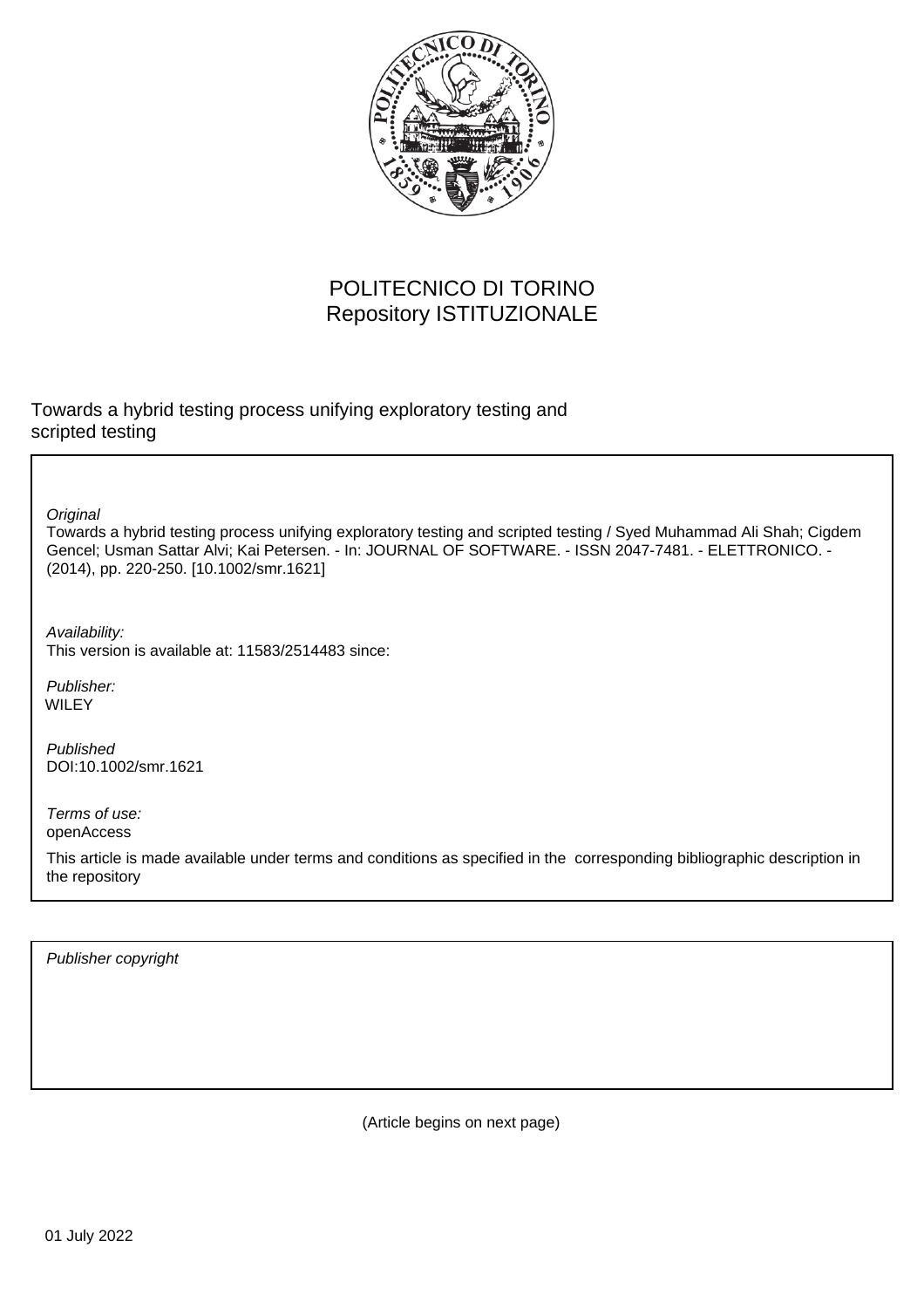

# POLITECNICO DI TORINO Repository ISTITUZIONALE

Towards a hybrid testing process unifying exploratory testing and scripted testing

**Original** 

Towards a hybrid testing process unifying exploratory testing and scripted testing / Syed Muhammad Ali Shah; Cigdem Gencel; Usman Sattar Alvi; Kai Petersen. - In: JOURNAL OF SOFTWARE. - ISSN 2047-7481. - ELETTRONICO. - (2014), pp. 220-250. [10.1002/smr.1621]

Availability: This version is available at: 11583/2514483 since:

Publisher: WILEY

Published DOI:10.1002/smr.1621

Terms of use: openAccess

This article is made available under terms and conditions as specified in the corresponding bibliographic description in the repository

Publisher copyright

(Article begins on next page)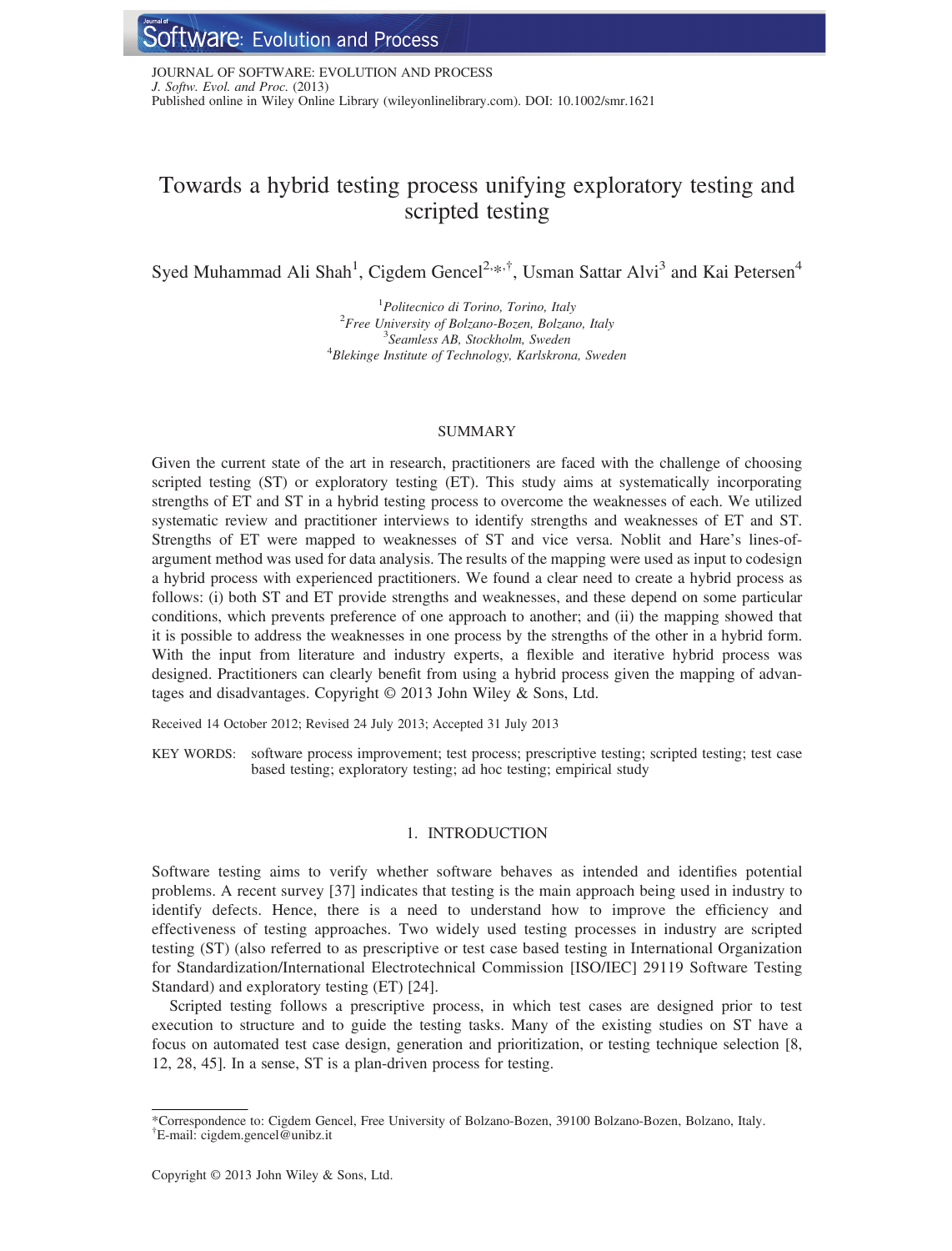# Software: Evolution and Process

JOURNAL OF SOFTWARE: EVOLUTION AND PROCESS J. Softw. Evol. and Proc. (2013) Published online in Wiley Online Library (wileyonlinelibrary.com). DOI: 10.1002/smr.1621

# Towards a hybrid testing process unifying exploratory testing and scripted testing

Syed Muhammad Ali Shah<sup>1</sup>, Cigdem Gencel<sup>2,\*,†</sup>, Usman Sattar Alvi<sup>3</sup> and Kai Petersen<sup>4</sup>

<sup>1</sup>Politecnico di Torino, Torino, Italy <sup>1</sup>Politecnico di Torino, Torino, Italy<sup>2</sup><br><sup>2</sup>Free University of Bolzano-Bozen, Bolzan Free University of Bolzano-Bozen, Bolzano, Italy<br><sup>3</sup>Seamless AB, Stockholm, Sweden <sup>3</sup>Seamless AB, Stockholm, Sweden<br><sup>4</sup>Blekinge Institute of Technology, Karlskrona, Sweden

#### SUMMARY

Given the current state of the art in research, practitioners are faced with the challenge of choosing scripted testing (ST) or exploratory testing (ET). This study aims at systematically incorporating strengths of ET and ST in a hybrid testing process to overcome the weaknesses of each. We utilized systematic review and practitioner interviews to identify strengths and weaknesses of ET and ST. Strengths of ET were mapped to weaknesses of ST and vice versa. Noblit and Hare's lines-ofargument method was used for data analysis. The results of the mapping were used as input to codesign a hybrid process with experienced practitioners. We found a clear need to create a hybrid process as follows: (i) both ST and ET provide strengths and weaknesses, and these depend on some particular conditions, which prevents preference of one approach to another; and (ii) the mapping showed that it is possible to address the weaknesses in one process by the strengths of the other in a hybrid form. With the input from literature and industry experts, a flexible and iterative hybrid process was designed. Practitioners can clearly benefit from using a hybrid process given the mapping of advantages and disadvantages. Copyright © 2013 John Wiley & Sons, Ltd.

Received 14 October 2012; Revised 24 July 2013; Accepted 31 July 2013

KEY WORDS: software process improvement; test process; prescriptive testing; scripted testing; test case based testing; exploratory testing; ad hoc testing; empirical study

## 1. INTRODUCTION

Software testing aims to verify whether software behaves as intended and identifies potential problems. A recent survey [37] indicates that testing is the main approach being used in industry to identify defects. Hence, there is a need to understand how to improve the efficiency and effectiveness of testing approaches. Two widely used testing processes in industry are scripted testing (ST) (also referred to as prescriptive or test case based testing in International Organization for Standardization/International Electrotechnical Commission [ISO/IEC] 29119 Software Testing Standard) and exploratory testing (ET) [24].

Scripted testing follows a prescriptive process, in which test cases are designed prior to test execution to structure and to guide the testing tasks. Many of the existing studies on ST have a focus on automated test case design, generation and prioritization, or testing technique selection [8, 12, 28, 45]. In a sense, ST is a plan-driven process for testing.

<sup>\*</sup>Correspondence to: Cigdem Gencel, Free University of Bolzano-Bozen, 39100 Bolzano-Bozen, Bolzano, Italy. † E-mail: cigdem.gencel@unibz.it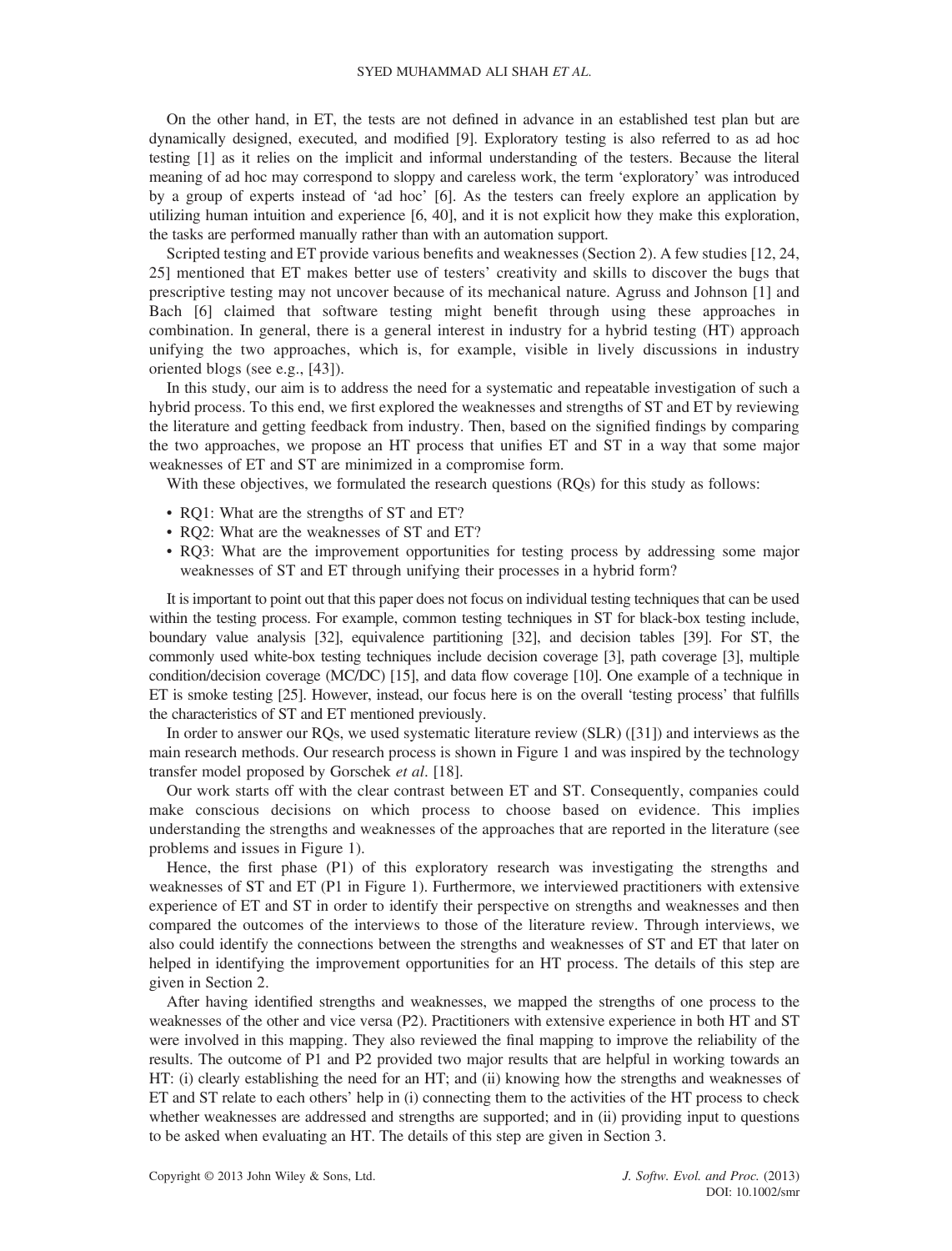On the other hand, in ET, the tests are not defined in advance in an established test plan but are dynamically designed, executed, and modified [9]. Exploratory testing is also referred to as ad hoc testing [1] as it relies on the implicit and informal understanding of the testers. Because the literal meaning of ad hoc may correspond to sloppy and careless work, the term 'exploratory' was introduced by a group of experts instead of 'ad hoc' [6]. As the testers can freely explore an application by utilizing human intuition and experience [6, 40], and it is not explicit how they make this exploration, the tasks are performed manually rather than with an automation support.

Scripted testing and ET provide various benefits and weaknesses (Section 2). A few studies [12, 24, 25] mentioned that ET makes better use of testers' creativity and skills to discover the bugs that prescriptive testing may not uncover because of its mechanical nature. Agruss and Johnson [1] and Bach [6] claimed that software testing might benefit through using these approaches in combination. In general, there is a general interest in industry for a hybrid testing (HT) approach unifying the two approaches, which is, for example, visible in lively discussions in industry oriented blogs (see e.g., [43]).

In this study, our aim is to address the need for a systematic and repeatable investigation of such a hybrid process. To this end, we first explored the weaknesses and strengths of ST and ET by reviewing the literature and getting feedback from industry. Then, based on the signified findings by comparing the two approaches, we propose an HT process that unifies ET and ST in a way that some major weaknesses of ET and ST are minimized in a compromise form.

With these objectives, we formulated the research questions (ROs) for this study as follows:

- RQ1: What are the strengths of ST and ET?
- RO2: What are the weaknesses of ST and ET?
- RQ3: What are the improvement opportunities for testing process by addressing some major weaknesses of ST and ET through unifying their processes in a hybrid form?

It is important to point out that this paper does not focus on individual testing techniques that can be used within the testing process. For example, common testing techniques in ST for black-box testing include, boundary value analysis [32], equivalence partitioning [32], and decision tables [39]. For ST, the commonly used white-box testing techniques include decision coverage [3], path coverage [3], multiple condition/decision coverage (MC/DC) [15], and data flow coverage [10]. One example of a technique in ET is smoke testing [25]. However, instead, our focus here is on the overall 'testing process' that fulfills the characteristics of ST and ET mentioned previously.

In order to answer our RQs, we used systematic literature review (SLR) ([31]) and interviews as the main research methods. Our research process is shown in Figure 1 and was inspired by the technology transfer model proposed by Gorschek et al. [18].

Our work starts off with the clear contrast between ET and ST. Consequently, companies could make conscious decisions on which process to choose based on evidence. This implies understanding the strengths and weaknesses of the approaches that are reported in the literature (see problems and issues in Figure 1).

Hence, the first phase (P1) of this exploratory research was investigating the strengths and weaknesses of ST and ET (P1 in Figure 1). Furthermore, we interviewed practitioners with extensive experience of ET and ST in order to identify their perspective on strengths and weaknesses and then compared the outcomes of the interviews to those of the literature review. Through interviews, we also could identify the connections between the strengths and weaknesses of ST and ET that later on helped in identifying the improvement opportunities for an HT process. The details of this step are given in Section 2.

After having identified strengths and weaknesses, we mapped the strengths of one process to the weaknesses of the other and vice versa (P2). Practitioners with extensive experience in both HT and ST were involved in this mapping. They also reviewed the final mapping to improve the reliability of the results. The outcome of P1 and P2 provided two major results that are helpful in working towards an HT: (i) clearly establishing the need for an HT; and (ii) knowing how the strengths and weaknesses of ET and ST relate to each others' help in (i) connecting them to the activities of the HT process to check whether weaknesses are addressed and strengths are supported; and in (ii) providing input to questions to be asked when evaluating an HT. The details of this step are given in Section 3.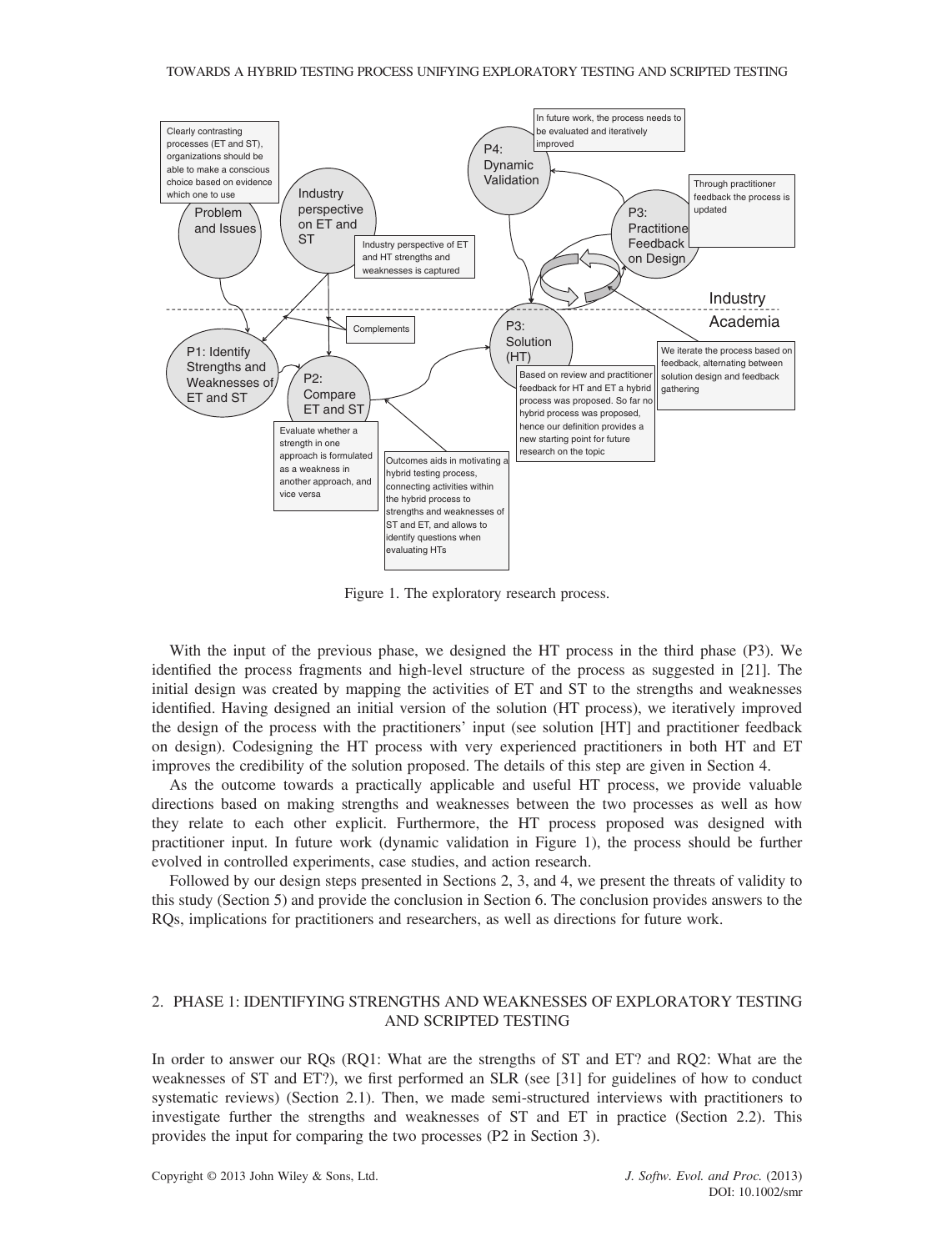

Figure 1. The exploratory research process.

With the input of the previous phase, we designed the HT process in the third phase (P3). We identified the process fragments and high-level structure of the process as suggested in [21]. The initial design was created by mapping the activities of ET and ST to the strengths and weaknesses identified. Having designed an initial version of the solution (HT process), we iteratively improved the design of the process with the practitioners' input (see solution [HT] and practitioner feedback on design). Codesigning the HT process with very experienced practitioners in both HT and ET improves the credibility of the solution proposed. The details of this step are given in Section 4.

As the outcome towards a practically applicable and useful HT process, we provide valuable directions based on making strengths and weaknesses between the two processes as well as how they relate to each other explicit. Furthermore, the HT process proposed was designed with practitioner input. In future work (dynamic validation in Figure 1), the process should be further evolved in controlled experiments, case studies, and action research.

Followed by our design steps presented in Sections 2, 3, and 4, we present the threats of validity to this study (Section 5) and provide the conclusion in Section 6. The conclusion provides answers to the RQs, implications for practitioners and researchers, as well as directions for future work.

# 2. PHASE 1: IDENTIFYING STRENGTHS AND WEAKNESSES OF EXPLORATORY TESTING AND SCRIPTED TESTING

In order to answer our RQs (RQ1: What are the strengths of ST and ET? and RQ2: What are the weaknesses of ST and ET?), we first performed an SLR (see [31] for guidelines of how to conduct systematic reviews) (Section 2.1). Then, we made semi-structured interviews with practitioners to investigate further the strengths and weaknesses of ST and ET in practice (Section 2.2). This provides the input for comparing the two processes (P2 in Section 3).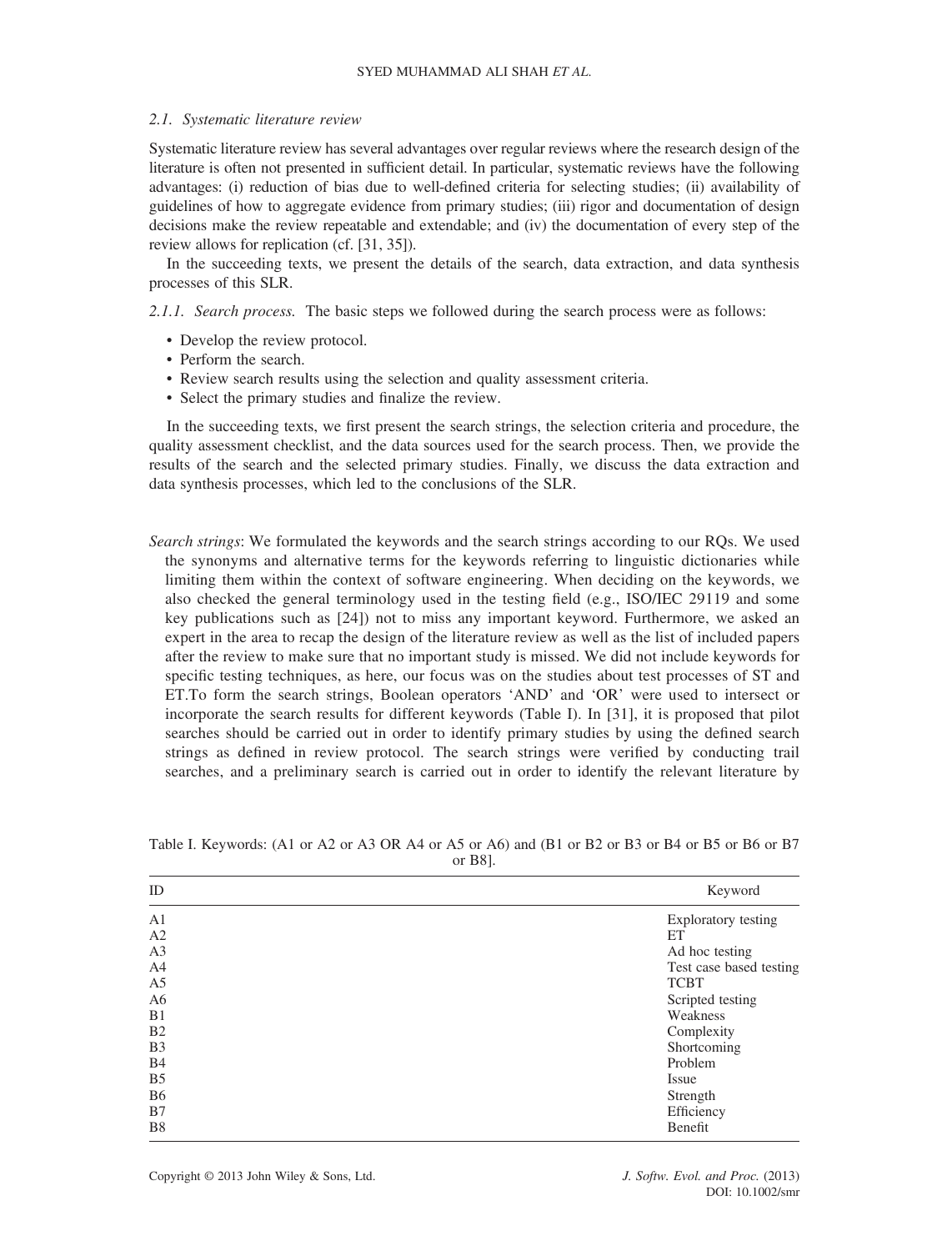#### 2.1. Systematic literature review

Systematic literature review has several advantages over regular reviews where the research design of the literature is often not presented in sufficient detail. In particular, systematic reviews have the following advantages: (i) reduction of bias due to well-defined criteria for selecting studies; (ii) availability of guidelines of how to aggregate evidence from primary studies; (iii) rigor and documentation of design decisions make the review repeatable and extendable; and (iv) the documentation of every step of the review allows for replication (cf. [31, 35]).

In the succeeding texts, we present the details of the search, data extraction, and data synthesis processes of this SLR.

2.1.1. Search process. The basic steps we followed during the search process were as follows:

- Develop the review protocol.
- Perform the search.
- Review search results using the selection and quality assessment criteria.
- Select the primary studies and finalize the review.

In the succeeding texts, we first present the search strings, the selection criteria and procedure, the quality assessment checklist, and the data sources used for the search process. Then, we provide the results of the search and the selected primary studies. Finally, we discuss the data extraction and data synthesis processes, which led to the conclusions of the SLR.

Search strings: We formulated the keywords and the search strings according to our RQs. We used the synonyms and alternative terms for the keywords referring to linguistic dictionaries while limiting them within the context of software engineering. When deciding on the keywords, we also checked the general terminology used in the testing field (e.g., ISO/IEC 29119 and some key publications such as [24]) not to miss any important keyword. Furthermore, we asked an expert in the area to recap the design of the literature review as well as the list of included papers after the review to make sure that no important study is missed. We did not include keywords for specific testing techniques, as here, our focus was on the studies about test processes of ST and ET.To form the search strings, Boolean operators 'AND' and 'OR' were used to intersect or incorporate the search results for different keywords (Table I). In [31], it is proposed that pilot searches should be carried out in order to identify primary studies by using the defined search strings as defined in review protocol. The search strings were verified by conducting trail searches, and a preliminary search is carried out in order to identify the relevant literature by

| ID             | Keyword                 |
|----------------|-------------------------|
| A <sub>1</sub> | Exploratory testing     |
| A2             | ET                      |
| A <sub>3</sub> | Ad hoc testing          |
| A <sub>4</sub> | Test case based testing |
| A <sub>5</sub> | <b>TCBT</b>             |
| A6             | Scripted testing        |
| B <sub>1</sub> | Weakness                |
| B <sub>2</sub> | Complexity              |
| B <sub>3</sub> | Shortcoming             |
| <b>B4</b>      | Problem                 |
| B <sub>5</sub> | Issue                   |
| <b>B6</b>      | Strength                |
| B7             | Efficiency              |
| B <sub>8</sub> | Benefit                 |

Table I. Keywords: (A1 or A2 or A3 OR A4 or A5 or A6) and (B1 or B2 or B3 or B4 or B5 or B6 or B7 or B8].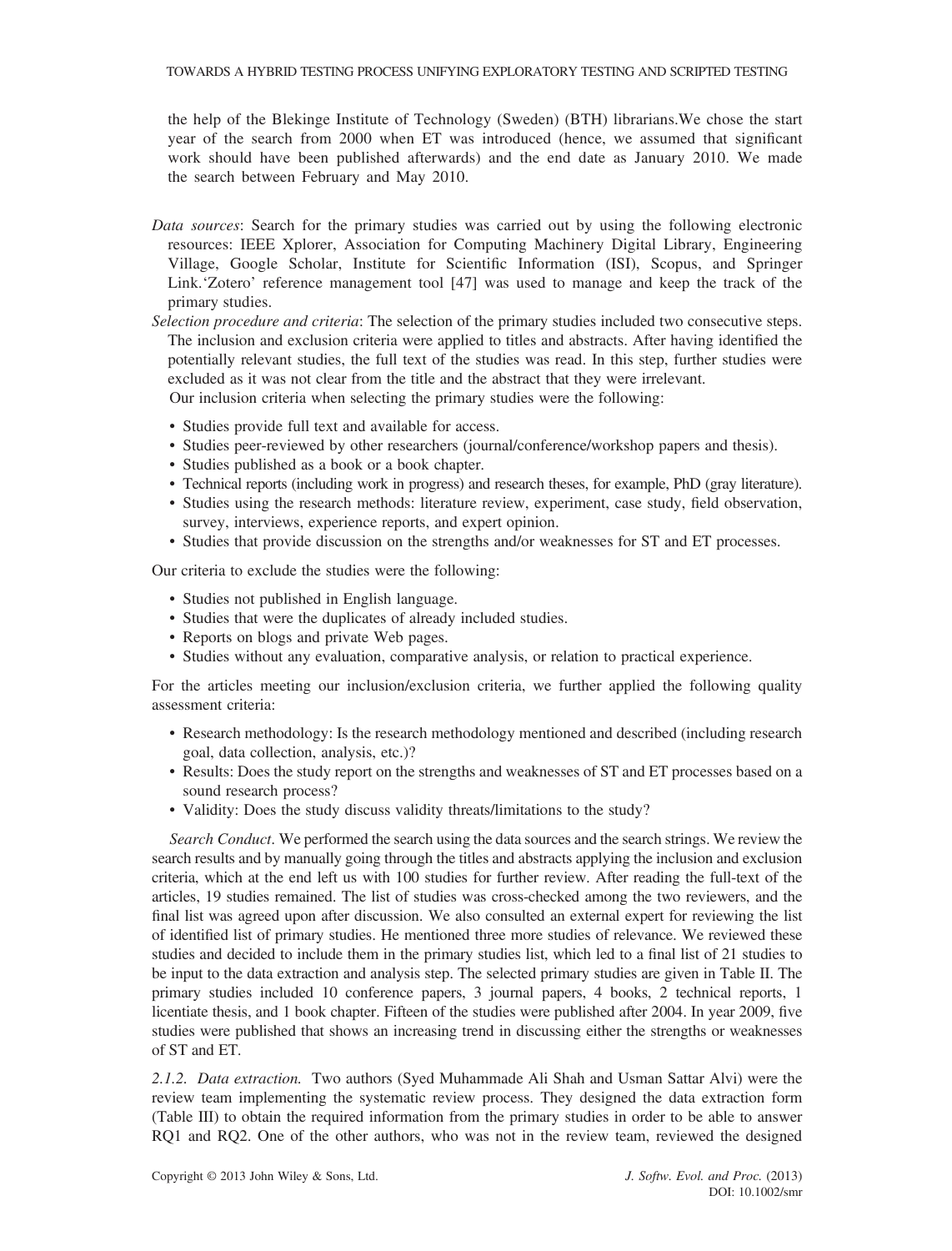the help of the Blekinge Institute of Technology (Sweden) (BTH) librarians.We chose the start year of the search from 2000 when ET was introduced (hence, we assumed that significant work should have been published afterwards) and the end date as January 2010. We made the search between February and May 2010.

- Data sources: Search for the primary studies was carried out by using the following electronic resources: IEEE Xplorer, Association for Computing Machinery Digital Library, Engineering Village, Google Scholar, Institute for Scientific Information (ISI), Scopus, and Springer Link.'Zotero' reference management tool [47] was used to manage and keep the track of the primary studies.
- Selection procedure and criteria: The selection of the primary studies included two consecutive steps. The inclusion and exclusion criteria were applied to titles and abstracts. After having identified the potentially relevant studies, the full text of the studies was read. In this step, further studies were excluded as it was not clear from the title and the abstract that they were irrelevant. Our inclusion criteria when selecting the primary studies were the following:
	- Studies provide full text and available for access.
	- Studies peer-reviewed by other researchers (journal/conference/workshop papers and thesis).
	- Studies published as a book or a book chapter.
	- Technical reports (including work in progress) and research theses, for example, PhD (gray literature).
	- Studies using the research methods: literature review, experiment, case study, field observation, survey, interviews, experience reports, and expert opinion.
	- Studies that provide discussion on the strengths and/or weaknesses for ST and ET processes.

Our criteria to exclude the studies were the following:

- Studies not published in English language.
- Studies that were the duplicates of already included studies.
- Reports on blogs and private Web pages.
- Studies without any evaluation, comparative analysis, or relation to practical experience.

For the articles meeting our inclusion/exclusion criteria, we further applied the following quality assessment criteria:

- Research methodology: Is the research methodology mentioned and described (including research goal, data collection, analysis, etc.)?
- Results: Does the study report on the strengths and weaknesses of ST and ET processes based on a sound research process?
- Validity: Does the study discuss validity threats/limitations to the study?

Search Conduct. We performed the search using the data sources and the search strings. We review the search results and by manually going through the titles and abstracts applying the inclusion and exclusion criteria, which at the end left us with 100 studies for further review. After reading the full-text of the articles, 19 studies remained. The list of studies was cross-checked among the two reviewers, and the final list was agreed upon after discussion. We also consulted an external expert for reviewing the list of identified list of primary studies. He mentioned three more studies of relevance. We reviewed these studies and decided to include them in the primary studies list, which led to a final list of 21 studies to be input to the data extraction and analysis step. The selected primary studies are given in Table II. The primary studies included 10 conference papers, 3 journal papers, 4 books, 2 technical reports, 1 licentiate thesis, and 1 book chapter. Fifteen of the studies were published after 2004. In year 2009, five studies were published that shows an increasing trend in discussing either the strengths or weaknesses of ST and ET.

2.1.2. Data extraction. Two authors (Syed Muhammade Ali Shah and Usman Sattar Alvi) were the review team implementing the systematic review process. They designed the data extraction form (Table III) to obtain the required information from the primary studies in order to be able to answer RQ1 and RQ2. One of the other authors, who was not in the review team, reviewed the designed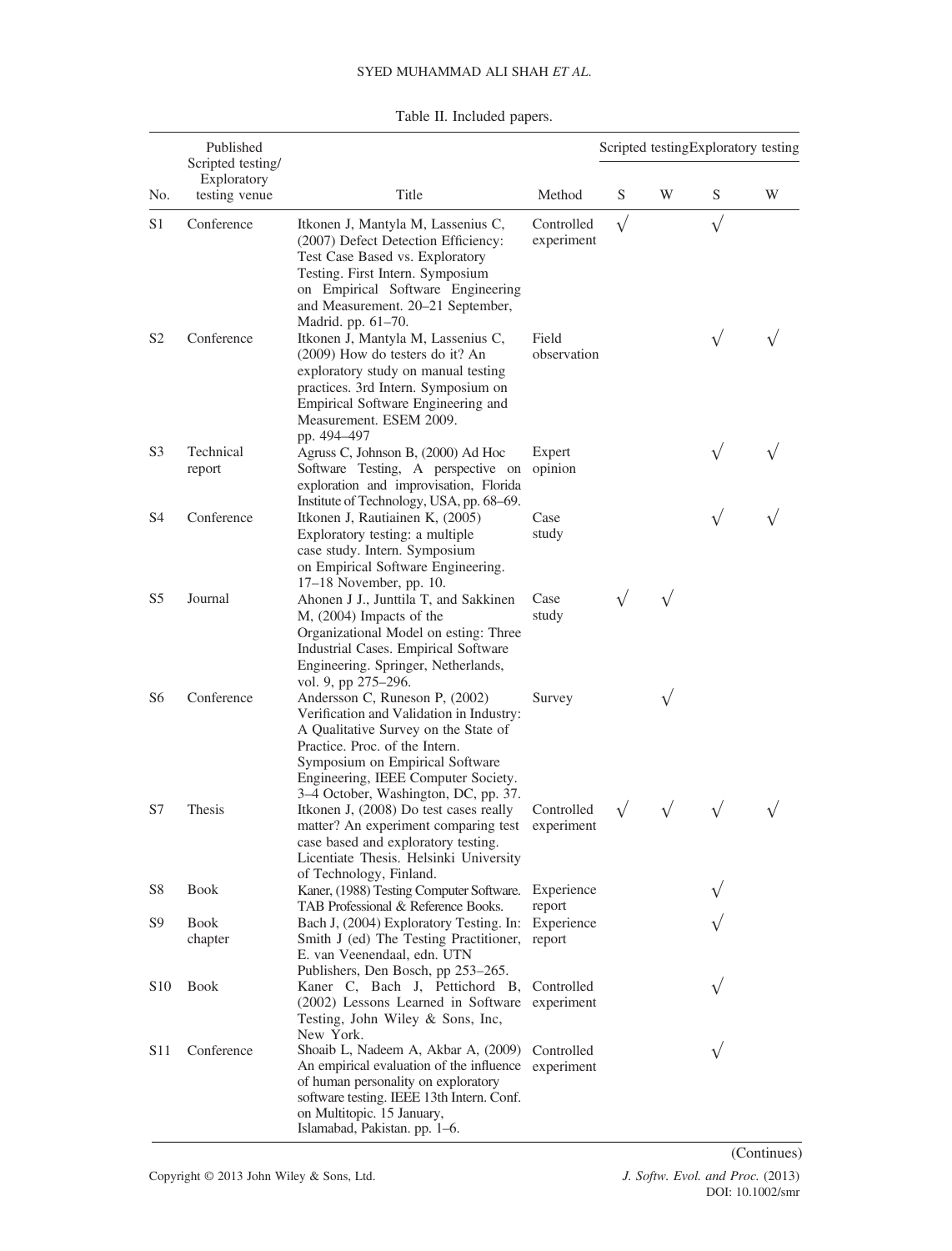# SYED MUHAMMAD ALI SHAH ET AL.

| Table II. Included papers. |  |
|----------------------------|--|
|----------------------------|--|

|                 | Published<br>Scripted testing/ |                                                                                                                                                                                                                                                                        |                          |           |           |           | Scripted testing Exploratory testing |
|-----------------|--------------------------------|------------------------------------------------------------------------------------------------------------------------------------------------------------------------------------------------------------------------------------------------------------------------|--------------------------|-----------|-----------|-----------|--------------------------------------|
| No.             | Exploratory<br>testing venue   | Title                                                                                                                                                                                                                                                                  | Method                   | S         | W         | S         | W                                    |
| S1              | Conference                     | Itkonen J, Mantyla M, Lassenius C,<br>(2007) Defect Detection Efficiency:<br>Test Case Based vs. Exploratory<br>Testing. First Intern. Symposium<br>on Empirical Software Engineering<br>and Measurement. 20-21 September,                                             | Controlled<br>experiment | $\sqrt{}$ |           | $\sqrt{}$ |                                      |
| S <sub>2</sub>  | Conference                     | Madrid. pp. 61-70.<br>Itkonen J, Mantyla M, Lassenius C,<br>(2009) How do testers do it? An<br>exploratory study on manual testing<br>practices. 3rd Intern. Symposium on<br>Empirical Software Engineering and<br>Measurement. ESEM 2009.<br>pp. 494-497              | Field<br>observation     |           |           |           |                                      |
| S3              | Technical<br>report            | Agruss C, Johnson B, (2000) Ad Hoc<br>Software Testing, A perspective on<br>exploration and improvisation, Florida<br>Institute of Technology, USA, pp. 68-69.                                                                                                         | Expert<br>opinion        |           |           |           |                                      |
| S4              | Conference                     | Itkonen J, Rautiainen K, (2005)<br>Exploratory testing: a multiple<br>case study. Intern. Symposium<br>on Empirical Software Engineering.<br>17-18 November, pp. 10.                                                                                                   | Case<br>study            |           |           |           |                                      |
| S5              | Journal                        | Ahonen J J., Junttila T, and Sakkinen<br>M, (2004) Impacts of the<br>Organizational Model on esting: Three<br>Industrial Cases. Empirical Software<br>Engineering. Springer, Netherlands,<br>vol. 9, pp 275-296.                                                       | Case<br>study            |           |           |           |                                      |
| S6              | Conference                     | Andersson C, Runeson P, (2002)<br>Verification and Validation in Industry:<br>A Qualitative Survey on the State of<br>Practice. Proc. of the Intern.<br>Symposium on Empirical Software<br>Engineering, IEEE Computer Society.<br>3-4 October, Washington, DC, pp. 37. | Survey                   |           |           |           |                                      |
| S7              | Thesis                         | Itkonen J, (2008) Do test cases really<br>matter? An experiment comparing test<br>case based and exploratory testing.<br>Licentiate Thesis. Helsinki University<br>of Technology, Finland.                                                                             | Controlled<br>experiment | $\sqrt{}$ | $\sqrt{}$ |           |                                      |
| S8              | <b>Book</b>                    | Kaner, (1988) Testing Computer Software.<br>TAB Professional & Reference Books.                                                                                                                                                                                        | Experience<br>report     |           |           |           |                                      |
| S <sub>9</sub>  | <b>Book</b><br>chapter         | Bach J, (2004) Exploratory Testing. In:<br>Smith J (ed) The Testing Practitioner,<br>E. van Veenendaal, edn. UTN<br>Publishers, Den Bosch, pp 253–265.                                                                                                                 | Experience<br>report     |           |           |           |                                      |
| S <sub>10</sub> | <b>Book</b>                    | Kaner C, Bach J, Pettichord B, Controlled<br>(2002) Lessons Learned in Software experiment<br>Testing, John Wiley & Sons, Inc,<br>New York.                                                                                                                            |                          |           |           |           |                                      |
| <b>S</b> 11     | Conference                     | Shoaib L, Nadeem A, Akbar A, (2009) Controlled<br>An empirical evaluation of the influence experiment<br>of human personality on exploratory<br>software testing. IEEE 13th Intern. Conf.<br>on Multitopic. 15 January,<br>Islamabad, Pakistan. pp. 1-6.               |                          |           |           |           |                                      |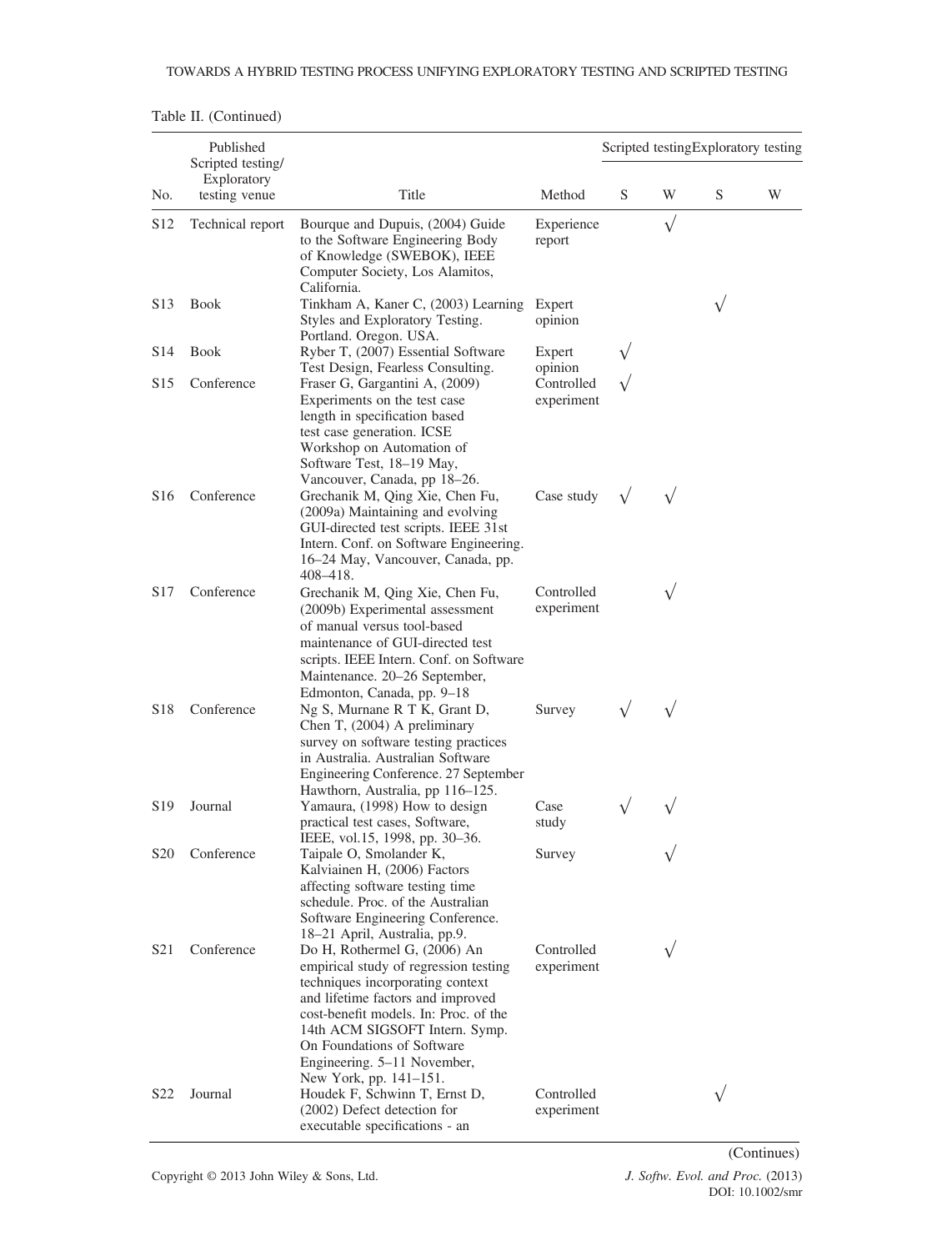# TOWARDS A HYBRID TESTING PROCESS UNIFYING EXPLORATORY TESTING AND SCRIPTED TESTING

|  | Table II. (Continued) |
|--|-----------------------|
|--|-----------------------|

|                 | Published<br>Scripted testing/ |                                                                                                                                                                                                                                                                                                                  |                          |   |            |   | Scripted testing Exploratory testing |
|-----------------|--------------------------------|------------------------------------------------------------------------------------------------------------------------------------------------------------------------------------------------------------------------------------------------------------------------------------------------------------------|--------------------------|---|------------|---|--------------------------------------|
| No.             | Exploratory<br>testing venue   | Title                                                                                                                                                                                                                                                                                                            | Method                   | S | W          | S | W                                    |
| S <sub>12</sub> | Technical report               | Bourque and Dupuis, (2004) Guide<br>to the Software Engineering Body<br>of Knowledge (SWEBOK), IEEE<br>Computer Society, Los Alamitos,<br>California.                                                                                                                                                            | Experience<br>report     |   | $\sqrt{}$  |   |                                      |
| S <sub>13</sub> | <b>Book</b>                    | Tinkham A, Kaner C, (2003) Learning<br>Styles and Exploratory Testing.<br>Portland. Oregon. USA.                                                                                                                                                                                                                 | Expert<br>opinion        |   |            |   |                                      |
| S14             | <b>Book</b>                    | Ryber T, (2007) Essential Software<br>Test Design, Fearless Consulting.                                                                                                                                                                                                                                          | Expert<br>opinion        |   |            |   |                                      |
| S15             | Conference                     | Fraser G, Gargantini A, (2009)<br>Experiments on the test case<br>length in specification based<br>test case generation. ICSE<br>Workshop on Automation of<br>Software Test, 18-19 May,<br>Vancouver, Canada, pp 18-26.                                                                                          | Controlled<br>experiment |   |            |   |                                      |
| S <sub>16</sub> | Conference                     | Grechanik M, Qing Xie, Chen Fu,<br>(2009a) Maintaining and evolving<br>GUI-directed test scripts. IEEE 31st<br>Intern. Conf. on Software Engineering.<br>16–24 May, Vancouver, Canada, pp.<br>408-418.                                                                                                           | Case study               |   | $\sqrt{ }$ |   |                                      |
| S <sub>17</sub> | Conference                     | Grechanik M, Qing Xie, Chen Fu,<br>(2009b) Experimental assessment<br>of manual versus tool-based<br>maintenance of GUI-directed test<br>scripts. IEEE Intern. Conf. on Software<br>Maintenance. 20–26 September,                                                                                                | Controlled<br>experiment |   |            |   |                                      |
| S18             | Conference                     | Edmonton, Canada, pp. 9-18<br>Ng S, Murnane R T K, Grant D,<br>Chen T, (2004) A preliminary<br>survey on software testing practices<br>in Australia. Australian Software<br>Engineering Conference. 27 September<br>Hawthorn, Australia, pp 116–125.                                                             | Survey                   |   | $\sqrt{}$  |   |                                      |
| S <sub>19</sub> | Journal                        | Yamaura, (1998) How to design<br>practical test cases, Software,<br>IEEE, vol.15, 1998, pp. 30–36.                                                                                                                                                                                                               | Case<br>study            |   |            |   |                                      |
| S <sub>20</sub> | Conference                     | Taipale O, Smolander K,<br>Kalviainen H, (2006) Factors<br>affecting software testing time<br>schedule. Proc. of the Australian<br>Software Engineering Conference.<br>18–21 April, Australia, pp.9.                                                                                                             | Survey                   |   |            |   |                                      |
| S21             | Conference                     | Do H, Rothermel G, (2006) An<br>empirical study of regression testing<br>techniques incorporating context<br>and lifetime factors and improved<br>cost-benefit models. In: Proc. of the<br>14th ACM SIGSOFT Intern. Symp.<br>On Foundations of Software<br>Engineering. 5–11 November,<br>New York, pp. 141–151. | Controlled<br>experiment |   |            |   |                                      |
| S22             | Journal                        | Houdek F, Schwinn T, Ernst D,<br>(2002) Defect detection for<br>executable specifications - an                                                                                                                                                                                                                   | Controlled<br>experiment |   |            |   |                                      |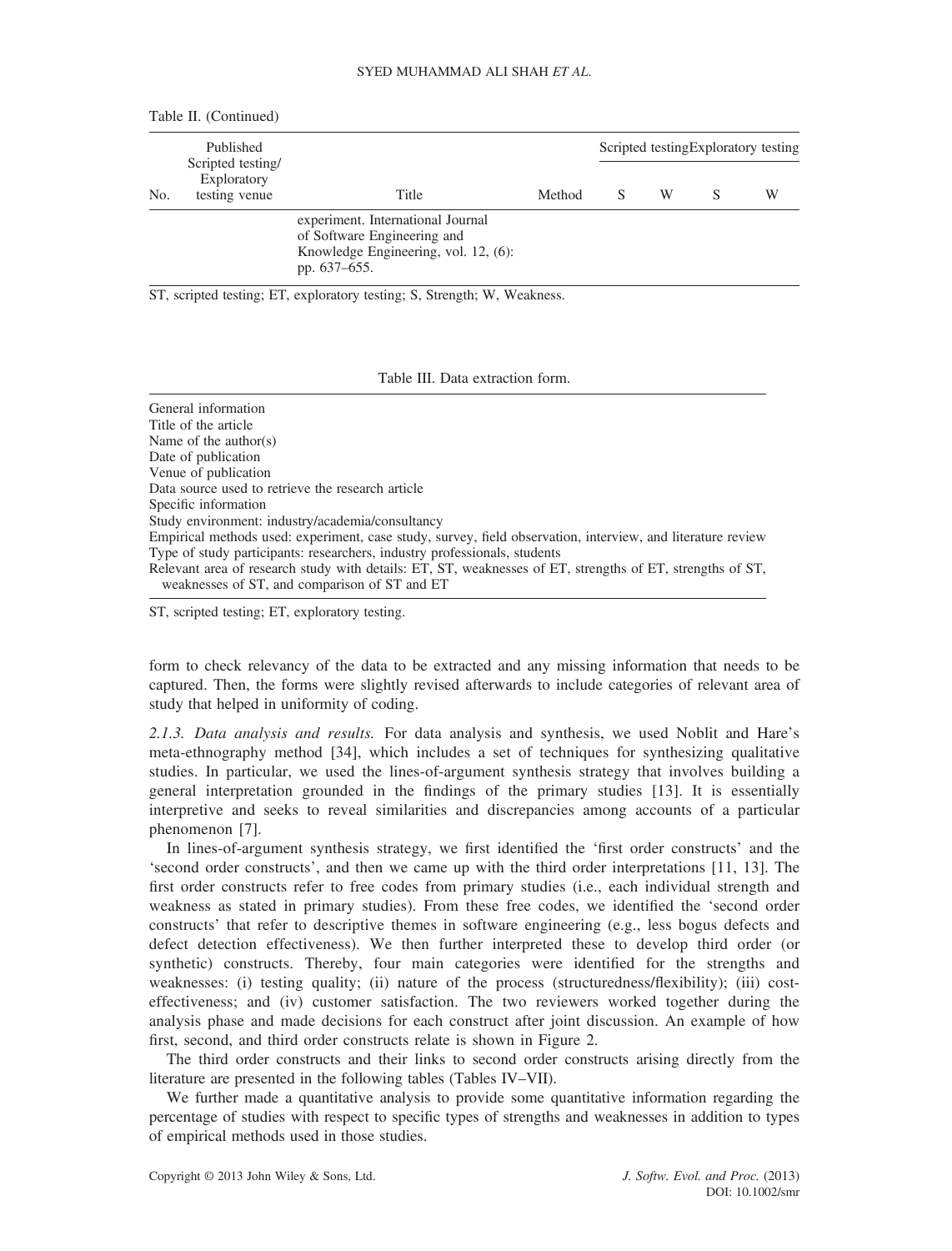#### SYED MUHAMMAD ALI SHAH ET AL.

|                                | Table II. (Continued)        |                                                                                                                          |                                      |   |   |   |   |
|--------------------------------|------------------------------|--------------------------------------------------------------------------------------------------------------------------|--------------------------------------|---|---|---|---|
| Published<br>Scripted testing/ |                              |                                                                                                                          | Scripted testing Exploratory testing |   |   |   |   |
| No.                            | Exploratory<br>testing venue | Title                                                                                                                    | Method                               | S | W | S | W |
|                                |                              | experiment. International Journal<br>of Software Engineering and<br>Knowledge Engineering, vol. 12, (6):<br>pp. 637–655. |                                      |   |   |   |   |

ST, scripted testing; ET, exploratory testing; S, Strength; W, Weakness.

Table III. Data extraction form.

| General information                                                                                                                                        |
|------------------------------------------------------------------------------------------------------------------------------------------------------------|
| Title of the article                                                                                                                                       |
| Name of the author(s)                                                                                                                                      |
| Date of publication                                                                                                                                        |
| Venue of publication                                                                                                                                       |
| Data source used to retrieve the research article                                                                                                          |
| Specific information                                                                                                                                       |
| Study environment: industry/academia/consultancy                                                                                                           |
| Empirical methods used: experiment, case study, survey, field observation, interview, and literature review                                                |
| Type of study participants: researchers, industry professionals, students                                                                                  |
| Relevant area of research study with details: ET, ST, weaknesses of ET, strengths of ET, strengths of ST,<br>weaknesses of ST, and comparison of ST and ET |

ST, scripted testing; ET, exploratory testing.

form to check relevancy of the data to be extracted and any missing information that needs to be captured. Then, the forms were slightly revised afterwards to include categories of relevant area of study that helped in uniformity of coding.

2.1.3. Data analysis and results. For data analysis and synthesis, we used Noblit and Hare's meta-ethnography method [34], which includes a set of techniques for synthesizing qualitative studies. In particular, we used the lines-of-argument synthesis strategy that involves building a general interpretation grounded in the findings of the primary studies [13]. It is essentially interpretive and seeks to reveal similarities and discrepancies among accounts of a particular phenomenon [7].

In lines-of-argument synthesis strategy, we first identified the 'first order constructs' and the 'second order constructs', and then we came up with the third order interpretations [11, 13]. The first order constructs refer to free codes from primary studies (i.e., each individual strength and weakness as stated in primary studies). From these free codes, we identified the 'second order constructs' that refer to descriptive themes in software engineering (e.g., less bogus defects and defect detection effectiveness). We then further interpreted these to develop third order (or synthetic) constructs. Thereby, four main categories were identified for the strengths and weaknesses: (i) testing quality; (ii) nature of the process (structuredness/flexibility); (iii) costeffectiveness; and (iv) customer satisfaction. The two reviewers worked together during the analysis phase and made decisions for each construct after joint discussion. An example of how first, second, and third order constructs relate is shown in Figure 2.

The third order constructs and their links to second order constructs arising directly from the literature are presented in the following tables (Tables IV–VII).

We further made a quantitative analysis to provide some quantitative information regarding the percentage of studies with respect to specific types of strengths and weaknesses in addition to types of empirical methods used in those studies.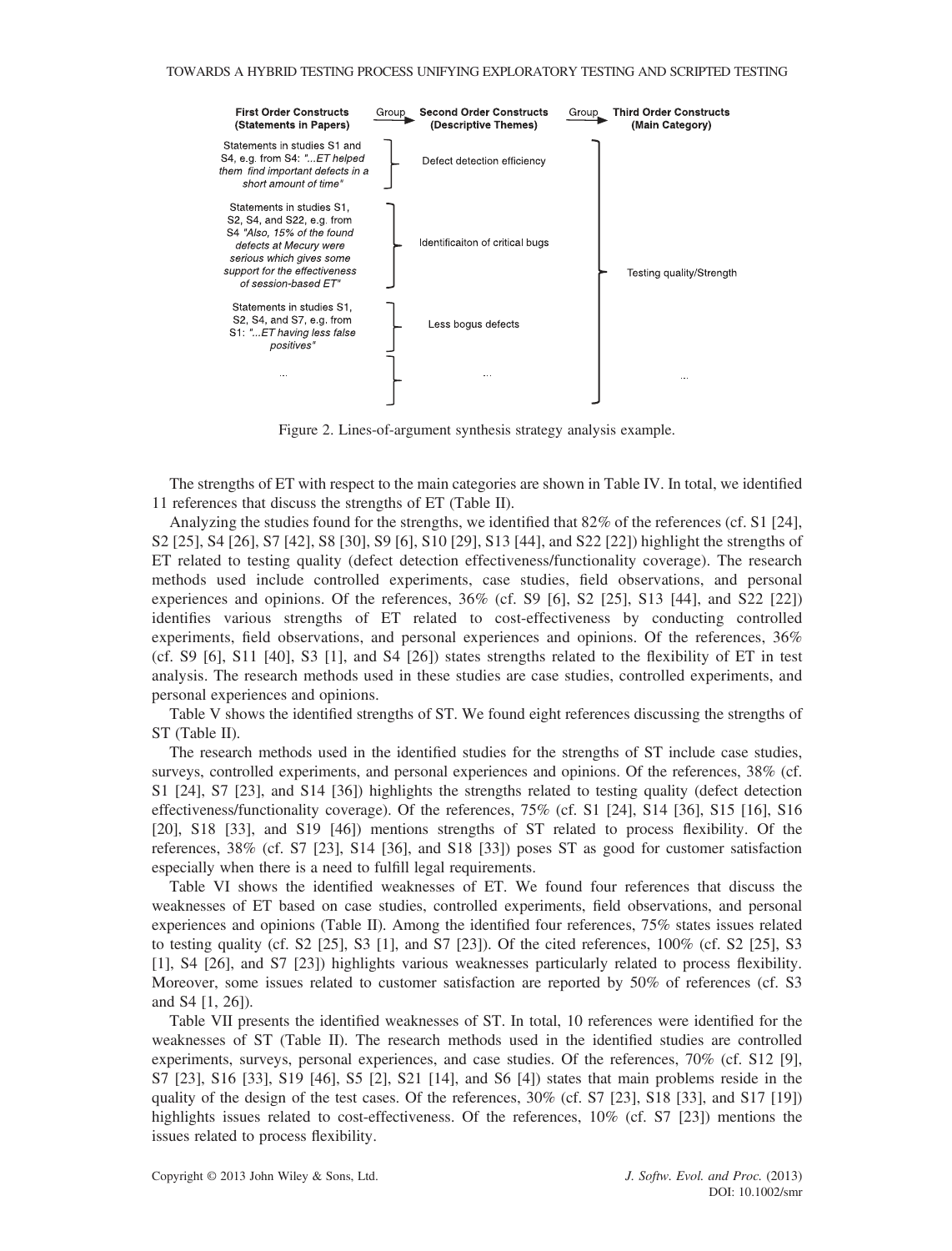

Figure 2. Lines-of-argument synthesis strategy analysis example.

The strengths of ET with respect to the main categories are shown in Table IV. In total, we identified 11 references that discuss the strengths of ET (Table II).

Analyzing the studies found for the strengths, we identified that 82% of the references (cf. S1 [24], S2 [25], S4 [26], S7 [42], S8 [30], S9 [6], S10 [29], S13 [44], and S22 [22]) highlight the strengths of ET related to testing quality (defect detection effectiveness/functionality coverage). The research methods used include controlled experiments, case studies, field observations, and personal experiences and opinions. Of the references, 36% (cf. S9 [6], S2 [25], S13 [44], and S22 [22]) identifies various strengths of ET related to cost-effectiveness by conducting controlled experiments, field observations, and personal experiences and opinions. Of the references, 36% (cf. S9 [6], S11 [40], S3 [1], and S4 [26]) states strengths related to the flexibility of ET in test analysis. The research methods used in these studies are case studies, controlled experiments, and personal experiences and opinions.

Table V shows the identified strengths of ST. We found eight references discussing the strengths of ST (Table II).

The research methods used in the identified studies for the strengths of ST include case studies, surveys, controlled experiments, and personal experiences and opinions. Of the references, 38% (cf. S1 [24], S7 [23], and S14 [36]) highlights the strengths related to testing quality (defect detection effectiveness/functionality coverage). Of the references, 75% (cf. S1 [24], S14 [36], S15 [16], S16 [20], S18 [33], and S19 [46]) mentions strengths of ST related to process flexibility. Of the references, 38% (cf. S7 [23], S14 [36], and S18 [33]) poses ST as good for customer satisfaction especially when there is a need to fulfill legal requirements.

Table VI shows the identified weaknesses of ET. We found four references that discuss the weaknesses of ET based on case studies, controlled experiments, field observations, and personal experiences and opinions (Table II). Among the identified four references, 75% states issues related to testing quality (cf. S2 [25], S3 [1], and S7 [23]). Of the cited references, 100% (cf. S2 [25], S3 [1], S4 [26], and S7 [23]) highlights various weaknesses particularly related to process flexibility. Moreover, some issues related to customer satisfaction are reported by 50% of references (cf. S3 and S4 [1, 26]).

Table VII presents the identified weaknesses of ST. In total, 10 references were identified for the weaknesses of ST (Table II). The research methods used in the identified studies are controlled experiments, surveys, personal experiences, and case studies. Of the references, 70% (cf. S12 [9], S7 [23], S16 [33], S19 [46], S5 [2], S21 [14], and S6 [4]) states that main problems reside in the quality of the design of the test cases. Of the references, 30% (cf. S7 [23], S18 [33], and S17 [19]) highlights issues related to cost-effectiveness. Of the references, 10% (cf. S7 [23]) mentions the issues related to process flexibility.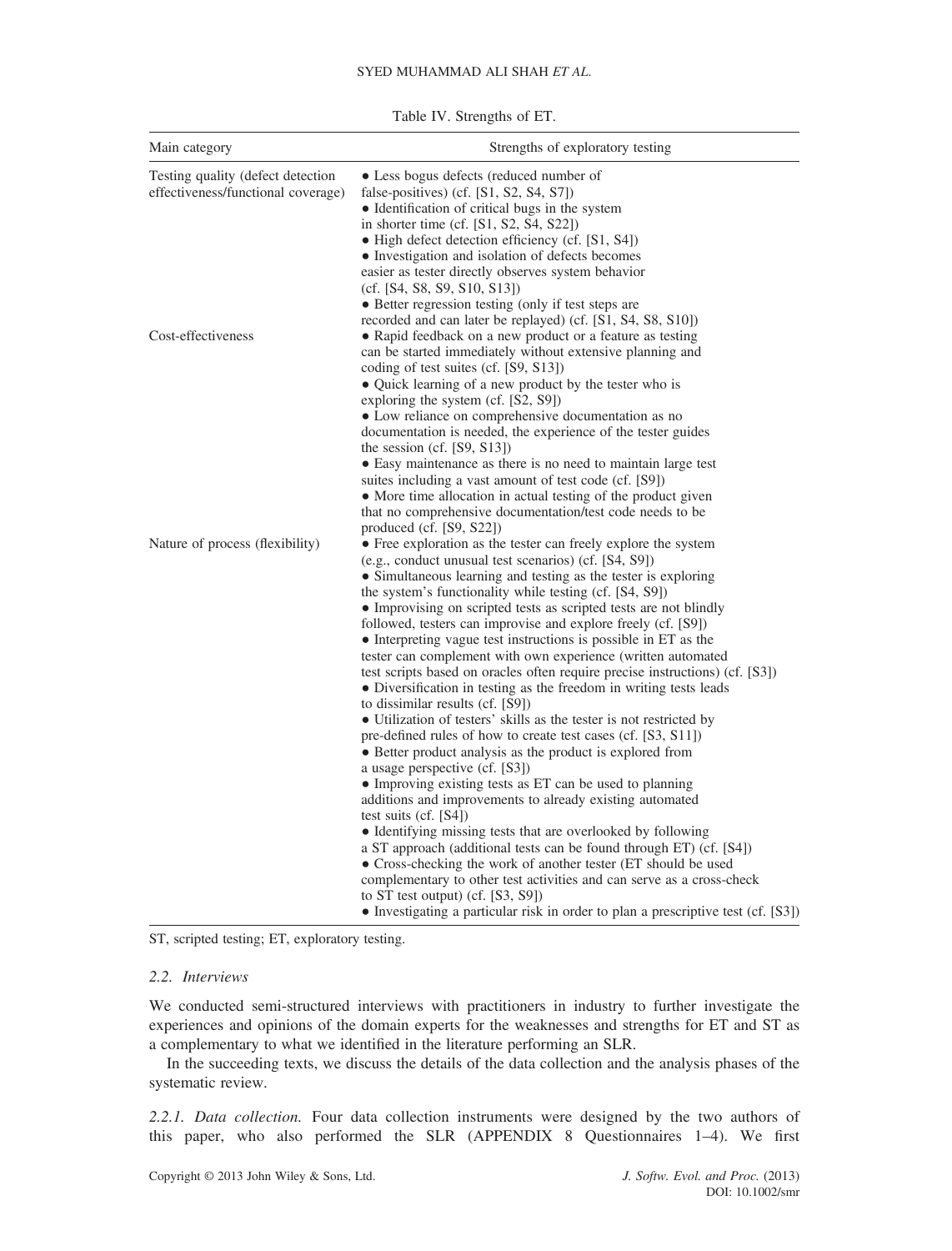# SYED MUHAMMAD ALI SHAH ET AL.

Table IV. Strengths of ET.

| Main category                                                           | Strengths of exploratory testing                                                          |  |  |  |
|-------------------------------------------------------------------------|-------------------------------------------------------------------------------------------|--|--|--|
| Testing quality (defect detection<br>effectiveness/functional coverage) | • Less bogus defects (reduced number of<br>false-positives) (cf. [S1, S2, S4, S7])        |  |  |  |
|                                                                         | • Identification of critical bugs in the system                                           |  |  |  |
|                                                                         | in shorter time (cf. $[S1, S2, S4, S22]$ )                                                |  |  |  |
|                                                                         | • High defect detection efficiency (cf. $[S1, S4]$ )                                      |  |  |  |
|                                                                         | • Investigation and isolation of defects becomes                                          |  |  |  |
|                                                                         | easier as tester directly observes system behavior                                        |  |  |  |
|                                                                         | (cf. [S4, S8, S9, S10, S13])                                                              |  |  |  |
|                                                                         | • Better regression testing (only if test steps are                                       |  |  |  |
|                                                                         | recorded and can later be replayed) (cf. [S1, S4, S8, S10])                               |  |  |  |
| Cost-effectiveness                                                      | • Rapid feedback on a new product or a feature as testing                                 |  |  |  |
|                                                                         | can be started immediately without extensive planning and                                 |  |  |  |
|                                                                         | coding of test suites (cf. [S9, S13])                                                     |  |  |  |
|                                                                         | • Quick learning of a new product by the tester who is                                    |  |  |  |
|                                                                         | exploring the system (cf. [S2, S9])                                                       |  |  |  |
|                                                                         | • Low reliance on comprehensive documentation as no                                       |  |  |  |
|                                                                         | documentation is needed, the experience of the tester guides                              |  |  |  |
|                                                                         | the session (cf. $[S9, S13]$ )                                                            |  |  |  |
|                                                                         | • Easy maintenance as there is no need to maintain large test                             |  |  |  |
|                                                                         | suites including a vast amount of test code (cf. [S9])                                    |  |  |  |
|                                                                         | • More time allocation in actual testing of the product given                             |  |  |  |
|                                                                         | that no comprehensive documentation/test code needs to be                                 |  |  |  |
|                                                                         | produced (cf. $[S9, S22]$ )                                                               |  |  |  |
| Nature of process (flexibility)                                         | • Free exploration as the tester can freely explore the system                            |  |  |  |
|                                                                         | (e.g., conduct unusual test scenarios) (cf. [S4, S9])                                     |  |  |  |
|                                                                         | • Simultaneous learning and testing as the tester is exploring                            |  |  |  |
|                                                                         | the system's functionality while testing (cf. [S4, S9])                                   |  |  |  |
|                                                                         | • Improvising on scripted tests as scripted tests are not blindly                         |  |  |  |
|                                                                         | followed, testers can improvise and explore freely (cf. [S9])                             |  |  |  |
|                                                                         | • Interpreting vague test instructions is possible in ET as the                           |  |  |  |
|                                                                         | tester can complement with own experience (written automated                              |  |  |  |
|                                                                         | test scripts based on oracles often require precise instructions) (cf. [S3])              |  |  |  |
|                                                                         | • Diversification in testing as the freedom in writing tests leads                        |  |  |  |
|                                                                         | to dissimilar results (cf. [S9])                                                          |  |  |  |
|                                                                         | • Utilization of testers' skills as the tester is not restricted by                       |  |  |  |
|                                                                         | pre-defined rules of how to create test cases (cf. [S3, S11])                             |  |  |  |
|                                                                         | • Better product analysis as the product is explored from                                 |  |  |  |
|                                                                         | a usage perspective (cf. [S3])                                                            |  |  |  |
|                                                                         | • Improving existing tests as ET can be used to planning                                  |  |  |  |
|                                                                         | additions and improvements to already existing automated                                  |  |  |  |
|                                                                         | test suits $(cf. [S4])$                                                                   |  |  |  |
|                                                                         | • Identifying missing tests that are overlooked by following                              |  |  |  |
|                                                                         | a ST approach (additional tests can be found through ET) (cf. [S4])                       |  |  |  |
|                                                                         | • Cross-checking the work of another tester (ET should be used                            |  |  |  |
|                                                                         | complementary to other test activities and can serve as a cross-check                     |  |  |  |
|                                                                         | to ST test output) (cf. $[S3, S9]$ )                                                      |  |  |  |
|                                                                         | $\bullet$ Investigating a particular risk in order to plan a prescriptive test (cf. [S3]) |  |  |  |
|                                                                         |                                                                                           |  |  |  |

ST, scripted testing; ET, exploratory testing.

# 2.2. Interviews

We conducted semi-structured interviews with practitioners in industry to further investigate the experiences and opinions of the domain experts for the weaknesses and strengths for ET and ST as a complementary to what we identified in the literature performing an SLR.

In the succeeding texts, we discuss the details of the data collection and the analysis phases of the systematic review.

2.2.1. Data collection. Four data collection instruments were designed by the two authors of this paper, who also performed the SLR (APPENDIX 8 Questionnaires 1–4). We first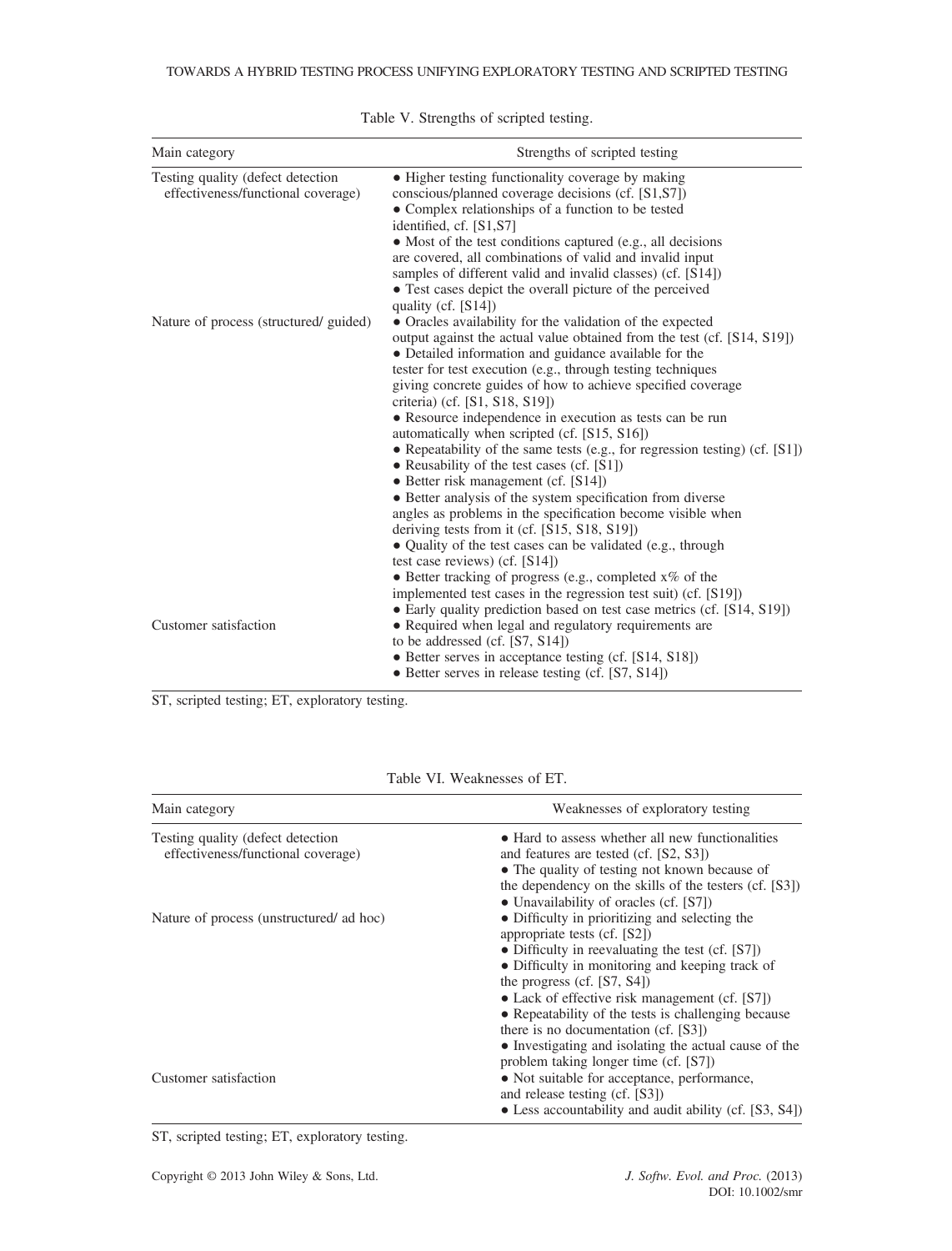| Main category                                                           | Strengths of scripted testing                                                                                                                                                                                                                                                                                                                                                                                                                                                                                                                                                      |
|-------------------------------------------------------------------------|------------------------------------------------------------------------------------------------------------------------------------------------------------------------------------------------------------------------------------------------------------------------------------------------------------------------------------------------------------------------------------------------------------------------------------------------------------------------------------------------------------------------------------------------------------------------------------|
| Testing quality (defect detection<br>effectiveness/functional coverage) | • Higher testing functionality coverage by making<br>conscious/planned coverage decisions (cf. [S1, S7])<br>• Complex relationships of a function to be tested<br>identified, cf. [S1,S7]<br>• Most of the test conditions captured (e.g., all decisions<br>are covered, all combinations of valid and invalid input<br>samples of different valid and invalid classes) (cf. [S14])<br>• Test cases depict the overall picture of the perceived                                                                                                                                    |
| Nature of process (structured/ guided)                                  | quality (cf. [S14])<br>• Oracles availability for the validation of the expected<br>output against the actual value obtained from the test (cf. [S14, S19])<br>• Detailed information and guidance available for the<br>tester for test execution (e.g., through testing techniques<br>giving concrete guides of how to achieve specified coverage<br>criteria) (cf. [S1, S18, S19])<br>• Resource independence in execution as tests can be run<br>automatically when scripted (cf. [S15, S16])<br>• Repeatability of the same tests (e.g., for regression testing) (cf. $[S1]$ ) |
|                                                                         | • Reusability of the test cases (cf. [S1])<br>• Better risk management (cf. [S14])<br>• Better analysis of the system specification from diverse<br>angles as problems in the specification become visible when<br>deriving tests from it (cf. [S15, S18, S19])<br>· Quality of the test cases can be validated (e.g., through<br>test case reviews) $(cf. [S14])$<br>• Better tracking of progress (e.g., completed $x\%$ of the                                                                                                                                                  |
| Customer satisfaction                                                   | implemented test cases in the regression test suit) (cf. [S19])<br>• Early quality prediction based on test case metrics (cf. [S14, S19])<br>• Required when legal and regulatory requirements are<br>to be addressed (cf. $[S7, S14]$ )<br>• Better serves in acceptance testing (cf. [S14, S18])<br>• Better serves in release testing (cf. [S7, S14])                                                                                                                                                                                                                           |

| Table V. Strengths of scripted testing. |
|-----------------------------------------|
|                                         |

ST, scripted testing; ET, exploratory testing.

| Main category                                                           | Weaknesses of exploratory testing                                                                                                                                                                                                                                                                                                                                                                                                                                       |  |  |  |  |
|-------------------------------------------------------------------------|-------------------------------------------------------------------------------------------------------------------------------------------------------------------------------------------------------------------------------------------------------------------------------------------------------------------------------------------------------------------------------------------------------------------------------------------------------------------------|--|--|--|--|
| Testing quality (defect detection<br>effectiveness/functional coverage) | • Hard to assess whether all new functionalities<br>and features are tested (cf. [S2, S3])<br>• The quality of testing not known because of<br>the dependency on the skills of the testers (cf. [S3])<br>• Unavailability of oracles (cf. [S7])                                                                                                                                                                                                                         |  |  |  |  |
| Nature of process (unstructured/ ad hoc)                                | • Difficulty in prioritizing and selecting the<br>appropriate tests (cf. [S2])<br>• Difficulty in reevaluating the test (cf. [S7])<br>• Difficulty in monitoring and keeping track of<br>the progress (cf. [S7, S4])<br>• Lack of effective risk management (cf. [S7])<br>• Repeatability of the tests is challenging because<br>there is no documentation (cf. [S3])<br>• Investigating and isolating the actual cause of the<br>problem taking longer time (cf. [S7]) |  |  |  |  |
| Customer satisfaction                                                   | • Not suitable for acceptance, performance,<br>and release testing (cf. [S3])<br>• Less accountability and audit ability (cf. [S3, S4])                                                                                                                                                                                                                                                                                                                                 |  |  |  |  |

Table VI. Weaknesses of ET.

ST, scripted testing; ET, exploratory testing.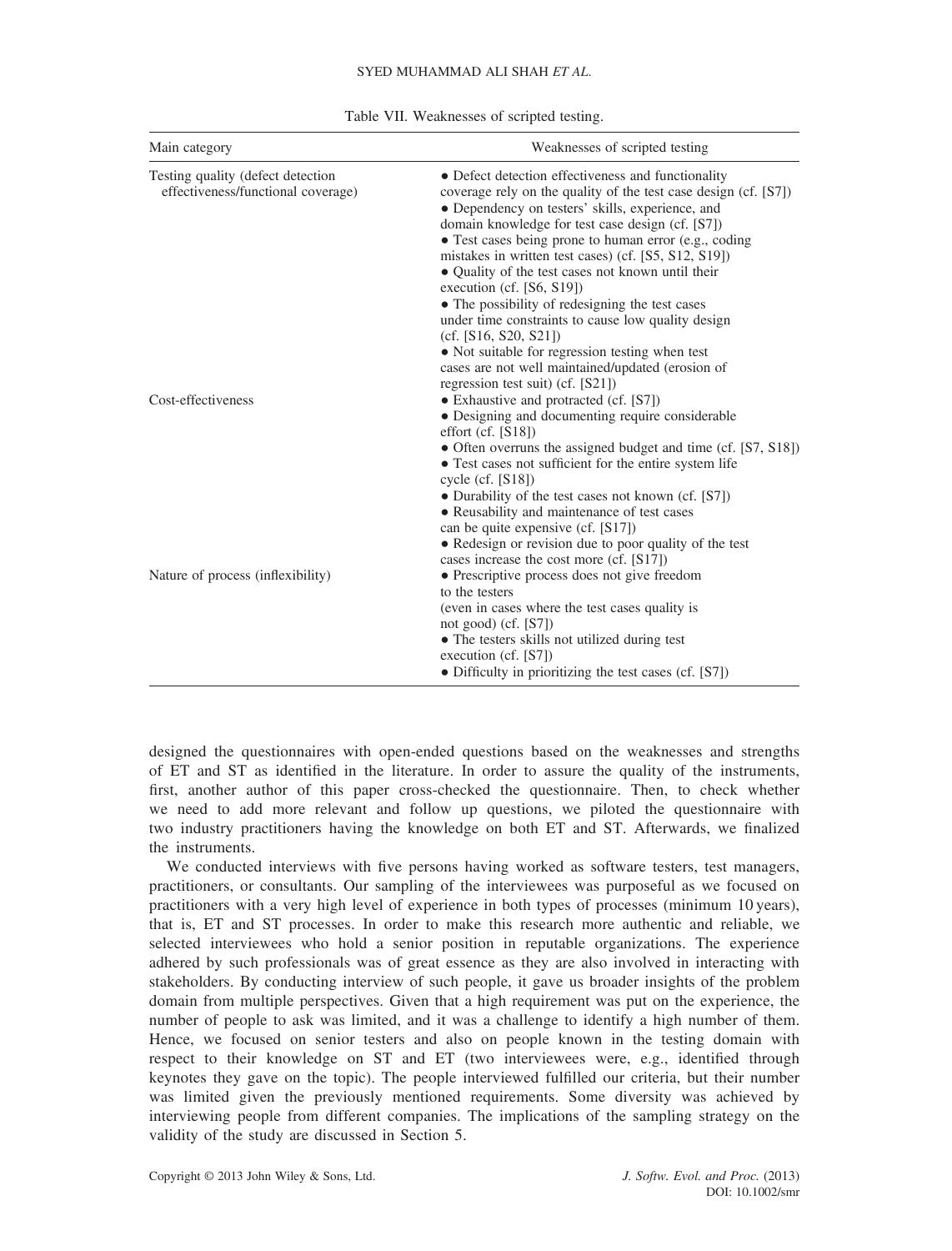#### SYED MUHAMMAD ALI SHAH ET AL.

| Table VII. Weaknesses of scripted testing. |  |  |  |
|--------------------------------------------|--|--|--|
|--------------------------------------------|--|--|--|

| Main category                                                           | Weaknesses of scripted testing                                                                                                                                                                                                                                                                                                                                                                                                                                                                                                                                                                                                                                                |  |
|-------------------------------------------------------------------------|-------------------------------------------------------------------------------------------------------------------------------------------------------------------------------------------------------------------------------------------------------------------------------------------------------------------------------------------------------------------------------------------------------------------------------------------------------------------------------------------------------------------------------------------------------------------------------------------------------------------------------------------------------------------------------|--|
| Testing quality (defect detection<br>effectiveness/functional coverage) | • Defect detection effectiveness and functionality<br>coverage rely on the quality of the test case design (cf. [S7])<br>• Dependency on testers' skills, experience, and<br>domain knowledge for test case design (cf. [S7])<br>• Test cases being prone to human error (e.g., coding<br>mistakes in written test cases) (cf. [S5, S12, S19])<br>• Quality of the test cases not known until their<br>execution (cf. $[S6, S19]$ )<br>• The possibility of redesigning the test cases<br>under time constraints to cause low quality design<br>(cf. [S16, S20, S21])<br>• Not suitable for regression testing when test<br>cases are not well maintained/updated (erosion of |  |
| Cost-effectiveness                                                      | regression test suit) (cf. [S21])<br>• Exhaustive and protracted (cf. [S7])<br>• Designing and documenting require considerable<br>effort (cf. $[S18]$ )<br>• Often overruns the assigned budget and time (cf. [S7, S18])<br>• Test cases not sufficient for the entire system life<br>cycle (cf. $[S18]$ )                                                                                                                                                                                                                                                                                                                                                                   |  |
| Nature of process (inflexibility)                                       | • Durability of the test cases not known (cf. [S7])<br>• Reusability and maintenance of test cases<br>can be quite expensive (cf. [S17])<br>• Redesign or revision due to poor quality of the test<br>cases increase the cost more (cf. [S17])<br>• Prescriptive process does not give freedom<br>to the testers<br>(even in cases where the test cases quality is<br>not good) (cf. $[S7]$ )<br>• The testers skills not utilized during test<br>execution (cf. [S7])<br>• Difficulty in prioritizing the test cases (cf. $[S7]$ )                                                                                                                                           |  |

designed the questionnaires with open-ended questions based on the weaknesses and strengths of ET and ST as identified in the literature. In order to assure the quality of the instruments, first, another author of this paper cross-checked the questionnaire. Then, to check whether we need to add more relevant and follow up questions, we piloted the questionnaire with two industry practitioners having the knowledge on both ET and ST. Afterwards, we finalized the instruments.

We conducted interviews with five persons having worked as software testers, test managers, practitioners, or consultants. Our sampling of the interviewees was purposeful as we focused on practitioners with a very high level of experience in both types of processes (minimum 10 years), that is, ET and ST processes. In order to make this research more authentic and reliable, we selected interviewees who hold a senior position in reputable organizations. The experience adhered by such professionals was of great essence as they are also involved in interacting with stakeholders. By conducting interview of such people, it gave us broader insights of the problem domain from multiple perspectives. Given that a high requirement was put on the experience, the number of people to ask was limited, and it was a challenge to identify a high number of them. Hence, we focused on senior testers and also on people known in the testing domain with respect to their knowledge on ST and ET (two interviewees were, e.g., identified through keynotes they gave on the topic). The people interviewed fulfilled our criteria, but their number was limited given the previously mentioned requirements. Some diversity was achieved by interviewing people from different companies. The implications of the sampling strategy on the validity of the study are discussed in Section 5.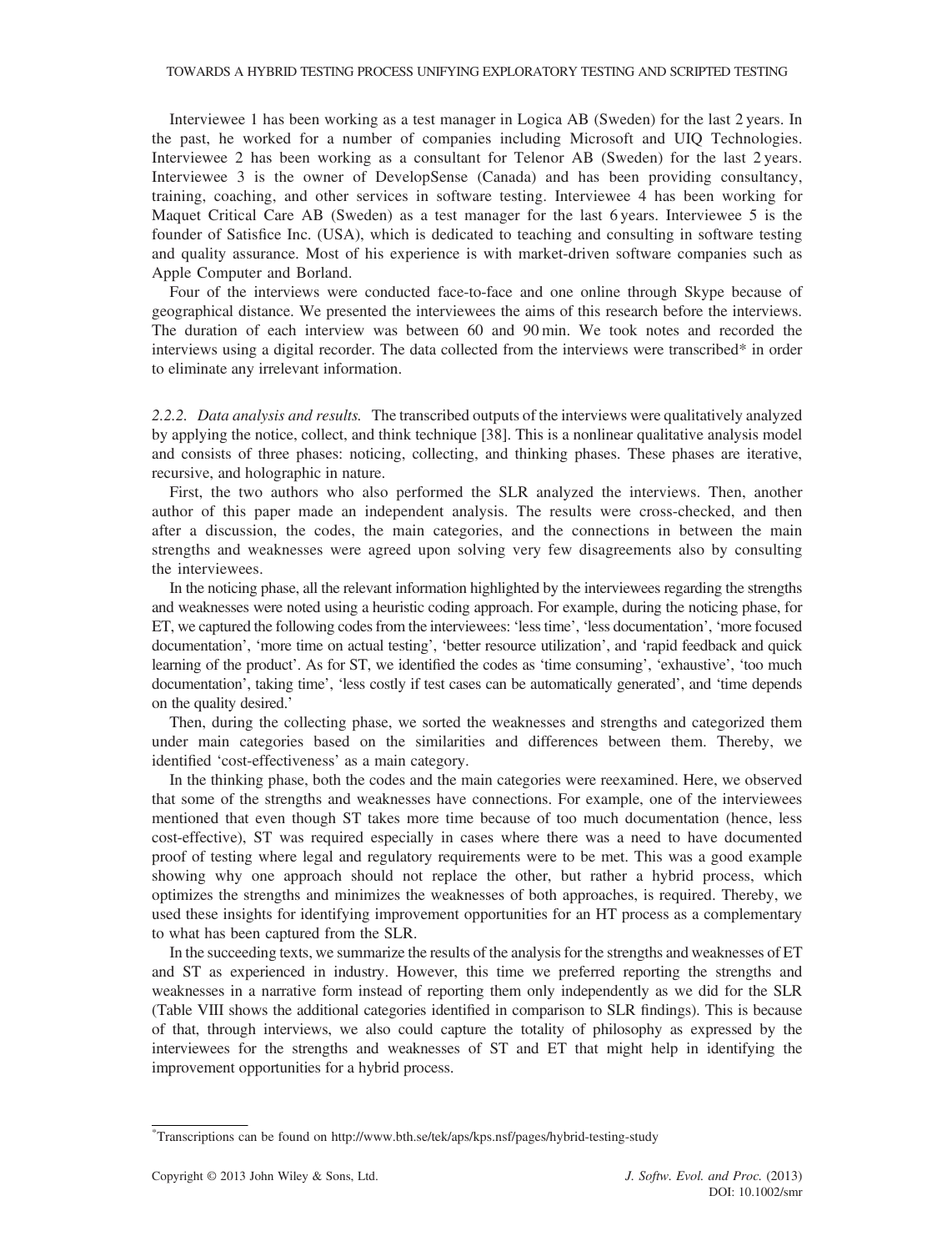Interviewee 1 has been working as a test manager in Logica AB (Sweden) for the last 2 years. In the past, he worked for a number of companies including Microsoft and UIQ Technologies. Interviewee 2 has been working as a consultant for Telenor AB (Sweden) for the last 2 years. Interviewee 3 is the owner of DevelopSense (Canada) and has been providing consultancy, training, coaching, and other services in software testing. Interviewee 4 has been working for Maquet Critical Care AB (Sweden) as a test manager for the last 6 years. Interviewee 5 is the founder of Satisfice Inc. (USA), which is dedicated to teaching and consulting in software testing and quality assurance. Most of his experience is with market-driven software companies such as Apple Computer and Borland.

Four of the interviews were conducted face-to-face and one online through Skype because of geographical distance. We presented the interviewees the aims of this research before the interviews. The duration of each interview was between 60 and 90 min. We took notes and recorded the interviews using a digital recorder. The data collected from the interviews were transcribed\* in order to eliminate any irrelevant information.

2.2.2. Data analysis and results. The transcribed outputs of the interviews were qualitatively analyzed by applying the notice, collect, and think technique [38]. This is a nonlinear qualitative analysis model and consists of three phases: noticing, collecting, and thinking phases. These phases are iterative, recursive, and holographic in nature.

First, the two authors who also performed the SLR analyzed the interviews. Then, another author of this paper made an independent analysis. The results were cross-checked, and then after a discussion, the codes, the main categories, and the connections in between the main strengths and weaknesses were agreed upon solving very few disagreements also by consulting the interviewees.

In the noticing phase, all the relevant information highlighted by the interviewees regarding the strengths and weaknesses were noted using a heuristic coding approach. For example, during the noticing phase, for ET, we captured the following codes from the interviewees: 'less time', 'less documentation', 'more focused documentation', 'more time on actual testing', 'better resource utilization', and 'rapid feedback and quick learning of the product'. As for ST, we identified the codes as 'time consuming', 'exhaustive', 'too much documentation', taking time', 'less costly if test cases can be automatically generated', and 'time depends on the quality desired.'

Then, during the collecting phase, we sorted the weaknesses and strengths and categorized them under main categories based on the similarities and differences between them. Thereby, we identified 'cost-effectiveness' as a main category.

In the thinking phase, both the codes and the main categories were reexamined. Here, we observed that some of the strengths and weaknesses have connections. For example, one of the interviewees mentioned that even though ST takes more time because of too much documentation (hence, less cost-effective), ST was required especially in cases where there was a need to have documented proof of testing where legal and regulatory requirements were to be met. This was a good example showing why one approach should not replace the other, but rather a hybrid process, which optimizes the strengths and minimizes the weaknesses of both approaches, is required. Thereby, we used these insights for identifying improvement opportunities for an HT process as a complementary to what has been captured from the SLR.

In the succeeding texts, we summarize the results of the analysis for the strengths and weaknesses of ET and ST as experienced in industry. However, this time we preferred reporting the strengths and weaknesses in a narrative form instead of reporting them only independently as we did for the SLR (Table VIII shows the additional categories identified in comparison to SLR findings). This is because of that, through interviews, we also could capture the totality of philosophy as expressed by the interviewees for the strengths and weaknesses of ST and ET that might help in identifying the improvement opportunities for a hybrid process.

<sup>\*</sup> Transcriptions can be found on<http://www.bth.se/tek/aps/kps.nsf/pages/hybrid-testing-study>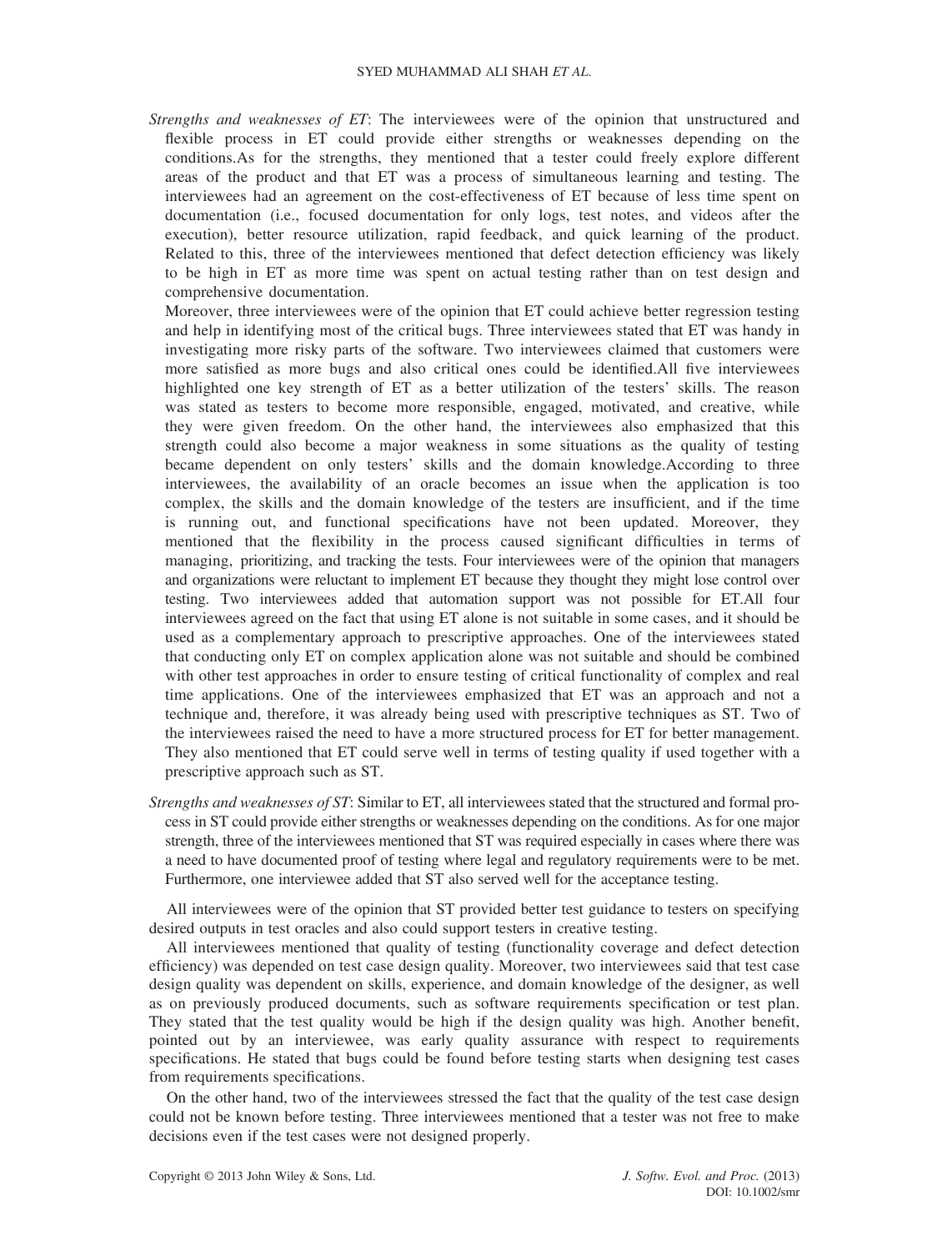Strengths and weaknesses of ET: The interviewees were of the opinion that unstructured and flexible process in ET could provide either strengths or weaknesses depending on the conditions.As for the strengths, they mentioned that a tester could freely explore different areas of the product and that ET was a process of simultaneous learning and testing. The interviewees had an agreement on the cost-effectiveness of ET because of less time spent on documentation (i.e., focused documentation for only logs, test notes, and videos after the execution), better resource utilization, rapid feedback, and quick learning of the product. Related to this, three of the interviewees mentioned that defect detection efficiency was likely to be high in ET as more time was spent on actual testing rather than on test design and comprehensive documentation.

Moreover, three interviewees were of the opinion that ET could achieve better regression testing and help in identifying most of the critical bugs. Three interviewees stated that ET was handy in investigating more risky parts of the software. Two interviewees claimed that customers were more satisfied as more bugs and also critical ones could be identified.All five interviewees highlighted one key strength of ET as a better utilization of the testers' skills. The reason was stated as testers to become more responsible, engaged, motivated, and creative, while they were given freedom. On the other hand, the interviewees also emphasized that this strength could also become a major weakness in some situations as the quality of testing became dependent on only testers' skills and the domain knowledge.According to three interviewees, the availability of an oracle becomes an issue when the application is too complex, the skills and the domain knowledge of the testers are insufficient, and if the time is running out, and functional specifications have not been updated. Moreover, they mentioned that the flexibility in the process caused significant difficulties in terms of managing, prioritizing, and tracking the tests. Four interviewees were of the opinion that managers and organizations were reluctant to implement ET because they thought they might lose control over testing. Two interviewees added that automation support was not possible for ET.All four interviewees agreed on the fact that using ET alone is not suitable in some cases, and it should be used as a complementary approach to prescriptive approaches. One of the interviewees stated that conducting only ET on complex application alone was not suitable and should be combined with other test approaches in order to ensure testing of critical functionality of complex and real time applications. One of the interviewees emphasized that ET was an approach and not a technique and, therefore, it was already being used with prescriptive techniques as ST. Two of the interviewees raised the need to have a more structured process for ET for better management. They also mentioned that ET could serve well in terms of testing quality if used together with a prescriptive approach such as ST.

Strengths and weaknesses of ST: Similar to ET, all interviewees stated that the structured and formal process in ST could provide either strengths or weaknesses depending on the conditions. As for one major strength, three of the interviewees mentioned that ST was required especially in cases where there was a need to have documented proof of testing where legal and regulatory requirements were to be met. Furthermore, one interviewee added that ST also served well for the acceptance testing.

All interviewees were of the opinion that ST provided better test guidance to testers on specifying desired outputs in test oracles and also could support testers in creative testing.

All interviewees mentioned that quality of testing (functionality coverage and defect detection efficiency) was depended on test case design quality. Moreover, two interviewees said that test case design quality was dependent on skills, experience, and domain knowledge of the designer, as well as on previously produced documents, such as software requirements specification or test plan. They stated that the test quality would be high if the design quality was high. Another benefit, pointed out by an interviewee, was early quality assurance with respect to requirements specifications. He stated that bugs could be found before testing starts when designing test cases from requirements specifications.

On the other hand, two of the interviewees stressed the fact that the quality of the test case design could not be known before testing. Three interviewees mentioned that a tester was not free to make decisions even if the test cases were not designed properly.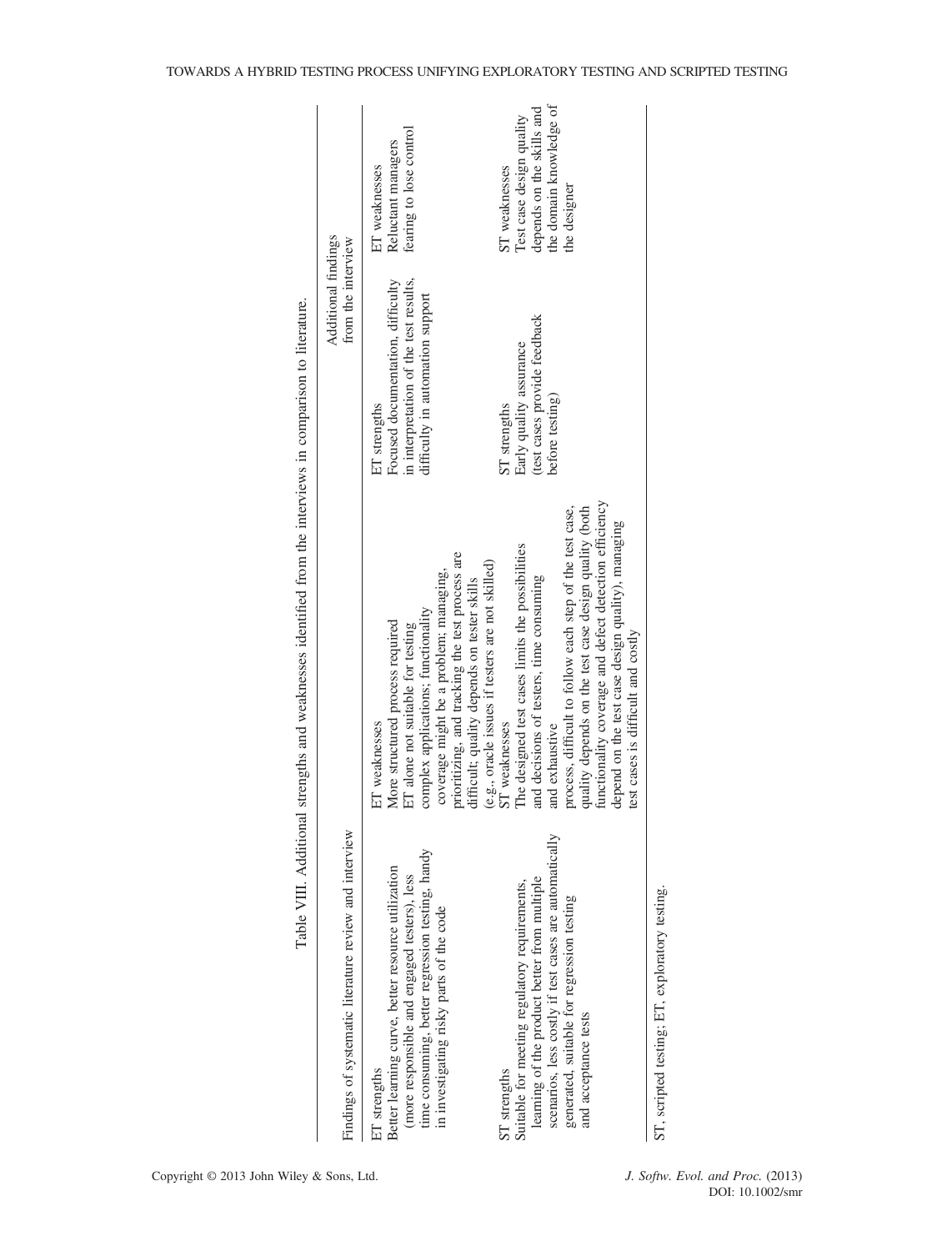Table VIII. Additional strengths and weaknesses identified from the interviews in comparison to literature. Table VIII. Additional strengths and weaknesses identified from the interviews in comparison to literature.

| Findings of systematic literature review and interview                                                                                                                                                                                                                                                                                                                                                                                                              |                                                                                                                                                                                                                                                                                                                                                                                                                                                                                                                                                                                                                                                                                                      | Additional findings<br>from the interview                                                                                                                                                                                    |                                                                                                                                                                                     |
|---------------------------------------------------------------------------------------------------------------------------------------------------------------------------------------------------------------------------------------------------------------------------------------------------------------------------------------------------------------------------------------------------------------------------------------------------------------------|------------------------------------------------------------------------------------------------------------------------------------------------------------------------------------------------------------------------------------------------------------------------------------------------------------------------------------------------------------------------------------------------------------------------------------------------------------------------------------------------------------------------------------------------------------------------------------------------------------------------------------------------------------------------------------------------------|------------------------------------------------------------------------------------------------------------------------------------------------------------------------------------------------------------------------------|-------------------------------------------------------------------------------------------------------------------------------------------------------------------------------------|
| scenarios, less costly if test cases are automatically<br>time consuming, better regression testing, handy<br>Better learning curve, better resource utilization<br>(more responsible and engaged testers), less<br>learning of the product better from multiple<br>Suitable for meeting regulatory requirements,<br>generated, suitable for regression testing<br>in investigating risky parts of the code<br>and acceptance tests<br>ST strengths<br>ET strengths | functionality coverage and defect detection efficiency<br>quality depends on the test case design quality (both<br>process, difficult to follow each step of the test case,<br>depend on the test case design quality), managing<br>The designed test cases limits the possibilities<br>prioritizing, and tracking the test process are<br>(e.g., oracle issues if testers are not skilled)<br>coverage might be a problem; managing,<br>and decisions of testers, time consuming<br>difficult; quality depends on tester skills<br>complex applications; functionality<br>More structured process required<br>ET alone not suitable for testing<br>ST weaknesses<br>ET weaknesses<br>and exhaustive | n interpretation of the test results,<br>Focused documentation, difficulty<br>difficulty in automation support<br>(test cases provide feedback<br>Early quality assurance<br>before testing)<br>ET strengths<br>ST strengths | the domain knowledge of<br>depends on the skills and<br>Test case design quality<br>fearing to lose control<br>Reluctant managers<br>ET weaknesses<br>ST weaknesses<br>the designer |
| ST, scripted testing; ET, exploratory testing.                                                                                                                                                                                                                                                                                                                                                                                                                      | test cases is difficult and costly                                                                                                                                                                                                                                                                                                                                                                                                                                                                                                                                                                                                                                                                   |                                                                                                                                                                                                                              |                                                                                                                                                                                     |
|                                                                                                                                                                                                                                                                                                                                                                                                                                                                     |                                                                                                                                                                                                                                                                                                                                                                                                                                                                                                                                                                                                                                                                                                      |                                                                                                                                                                                                                              |                                                                                                                                                                                     |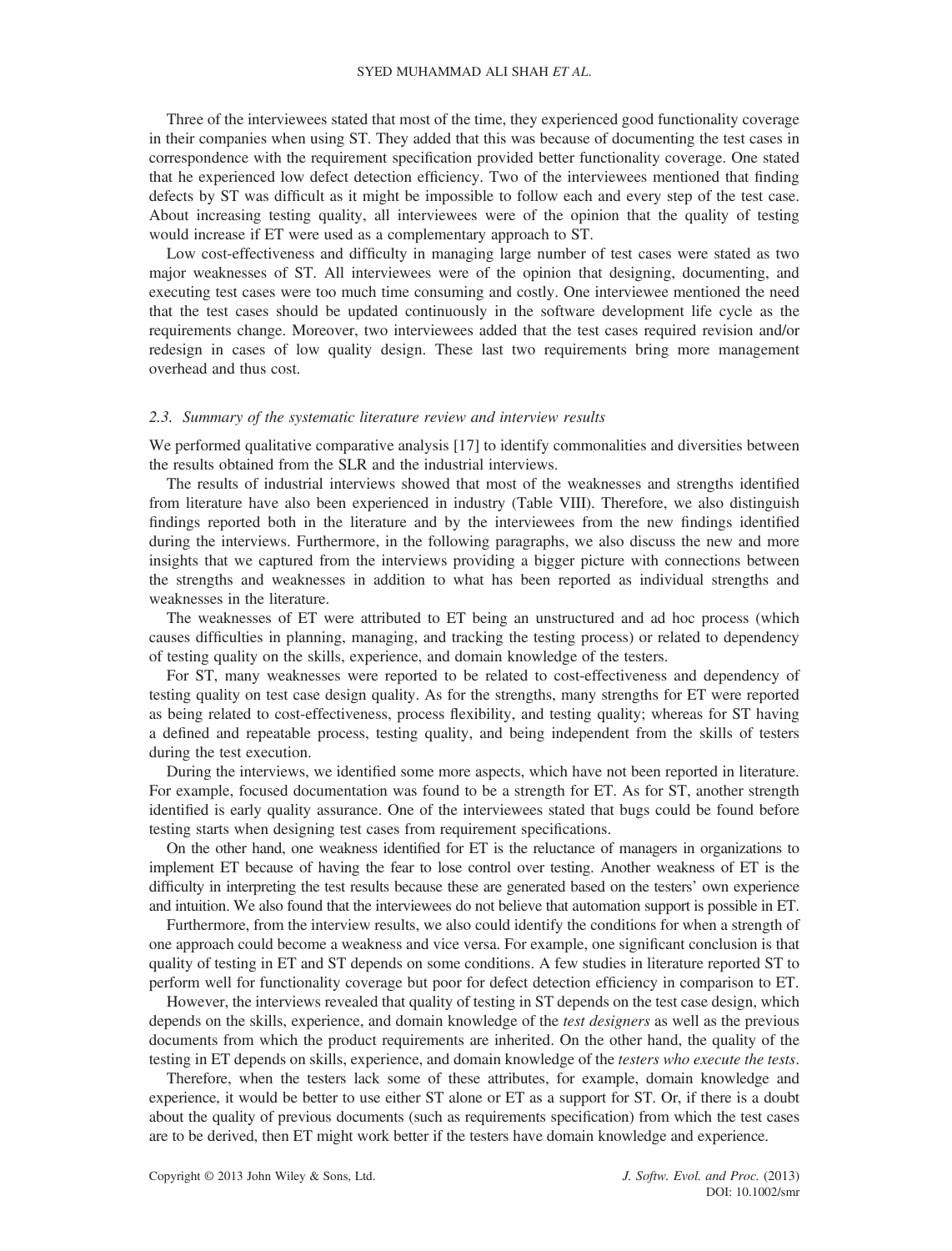Three of the interviewees stated that most of the time, they experienced good functionality coverage in their companies when using ST. They added that this was because of documenting the test cases in correspondence with the requirement specification provided better functionality coverage. One stated that he experienced low defect detection efficiency. Two of the interviewees mentioned that finding defects by ST was difficult as it might be impossible to follow each and every step of the test case. About increasing testing quality, all interviewees were of the opinion that the quality of testing would increase if ET were used as a complementary approach to ST.

Low cost-effectiveness and difficulty in managing large number of test cases were stated as two major weaknesses of ST. All interviewees were of the opinion that designing, documenting, and executing test cases were too much time consuming and costly. One interviewee mentioned the need that the test cases should be updated continuously in the software development life cycle as the requirements change. Moreover, two interviewees added that the test cases required revision and/or redesign in cases of low quality design. These last two requirements bring more management overhead and thus cost.

#### 2.3. Summary of the systematic literature review and interview results

We performed qualitative comparative analysis [17] to identify commonalities and diversities between the results obtained from the SLR and the industrial interviews.

The results of industrial interviews showed that most of the weaknesses and strengths identified from literature have also been experienced in industry (Table VIII). Therefore, we also distinguish findings reported both in the literature and by the interviewees from the new findings identified during the interviews. Furthermore, in the following paragraphs, we also discuss the new and more insights that we captured from the interviews providing a bigger picture with connections between the strengths and weaknesses in addition to what has been reported as individual strengths and weaknesses in the literature.

The weaknesses of ET were attributed to ET being an unstructured and ad hoc process (which causes difficulties in planning, managing, and tracking the testing process) or related to dependency of testing quality on the skills, experience, and domain knowledge of the testers.

For ST, many weaknesses were reported to be related to cost-effectiveness and dependency of testing quality on test case design quality. As for the strengths, many strengths for ET were reported as being related to cost-effectiveness, process flexibility, and testing quality; whereas for ST having a defined and repeatable process, testing quality, and being independent from the skills of testers during the test execution.

During the interviews, we identified some more aspects, which have not been reported in literature. For example, focused documentation was found to be a strength for ET. As for ST, another strength identified is early quality assurance. One of the interviewees stated that bugs could be found before testing starts when designing test cases from requirement specifications.

On the other hand, one weakness identified for ET is the reluctance of managers in organizations to implement ET because of having the fear to lose control over testing. Another weakness of ET is the difficulty in interpreting the test results because these are generated based on the testers' own experience and intuition. We also found that the interviewees do not believe that automation support is possible in ET.

Furthermore, from the interview results, we also could identify the conditions for when a strength of one approach could become a weakness and vice versa. For example, one significant conclusion is that quality of testing in ET and ST depends on some conditions. A few studies in literature reported ST to perform well for functionality coverage but poor for defect detection efficiency in comparison to ET.

However, the interviews revealed that quality of testing in ST depends on the test case design, which depends on the skills, experience, and domain knowledge of the *test designers* as well as the previous documents from which the product requirements are inherited. On the other hand, the quality of the testing in ET depends on skills, experience, and domain knowledge of the testers who execute the tests.

Therefore, when the testers lack some of these attributes, for example, domain knowledge and experience, it would be better to use either ST alone or ET as a support for ST. Or, if there is a doubt about the quality of previous documents (such as requirements specification) from which the test cases are to be derived, then ET might work better if the testers have domain knowledge and experience.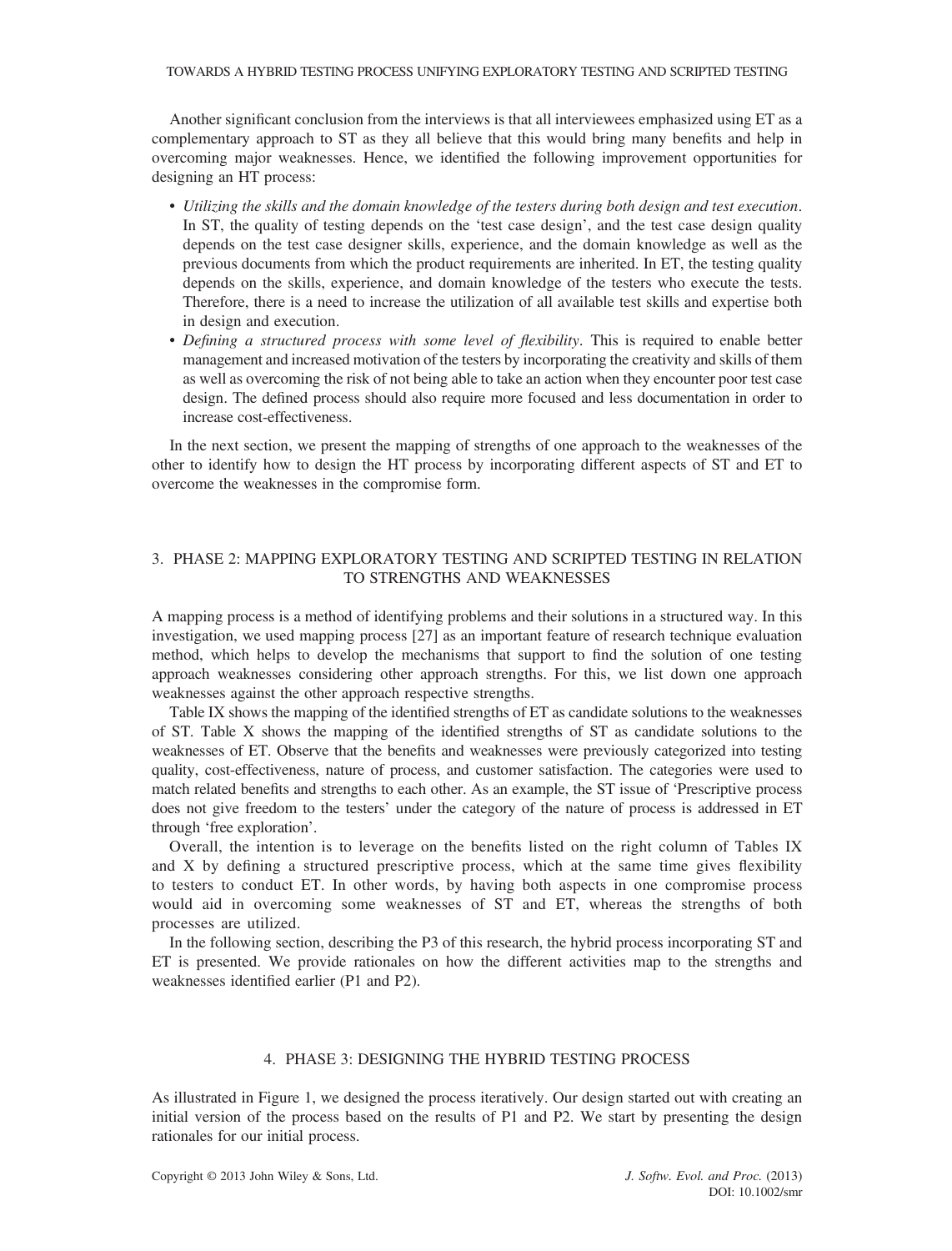Another significant conclusion from the interviews is that all interviewees emphasized using ET as a complementary approach to ST as they all believe that this would bring many benefits and help in overcoming major weaknesses. Hence, we identified the following improvement opportunities for designing an HT process:

- Utilizing the skills and the domain knowledge of the testers during both design and test execution. In ST, the quality of testing depends on the 'test case design', and the test case design quality depends on the test case designer skills, experience, and the domain knowledge as well as the previous documents from which the product requirements are inherited. In ET, the testing quality depends on the skills, experience, and domain knowledge of the testers who execute the tests. Therefore, there is a need to increase the utilization of all available test skills and expertise both in design and execution.
- Defining a structured process with some level of flexibility. This is required to enable better management and increased motivation of the testers by incorporating the creativity and skills of them as well as overcoming the risk of not being able to take an action when they encounter poor test case design. The defined process should also require more focused and less documentation in order to increase cost-effectiveness.

In the next section, we present the mapping of strengths of one approach to the weaknesses of the other to identify how to design the HT process by incorporating different aspects of ST and ET to overcome the weaknesses in the compromise form.

# 3. PHASE 2: MAPPING EXPLORATORY TESTING AND SCRIPTED TESTING IN RELATION TO STRENGTHS AND WEAKNESSES

A mapping process is a method of identifying problems and their solutions in a structured way. In this investigation, we used mapping process [27] as an important feature of research technique evaluation method, which helps to develop the mechanisms that support to find the solution of one testing approach weaknesses considering other approach strengths. For this, we list down one approach weaknesses against the other approach respective strengths.

Table IX shows the mapping of the identified strengths of ET as candidate solutions to the weaknesses of ST. Table X shows the mapping of the identified strengths of ST as candidate solutions to the weaknesses of ET. Observe that the benefits and weaknesses were previously categorized into testing quality, cost-effectiveness, nature of process, and customer satisfaction. The categories were used to match related benefits and strengths to each other. As an example, the ST issue of 'Prescriptive process does not give freedom to the testers' under the category of the nature of process is addressed in ET through 'free exploration'.

Overall, the intention is to leverage on the benefits listed on the right column of Tables IX and X by defining a structured prescriptive process, which at the same time gives flexibility to testers to conduct ET. In other words, by having both aspects in one compromise process would aid in overcoming some weaknesses of ST and ET, whereas the strengths of both processes are utilized.

In the following section, describing the P3 of this research, the hybrid process incorporating ST and ET is presented. We provide rationales on how the different activities map to the strengths and weaknesses identified earlier (P1 and P2).

# 4. PHASE 3: DESIGNING THE HYBRID TESTING PROCESS

As illustrated in Figure 1, we designed the process iteratively. Our design started out with creating an initial version of the process based on the results of P1 and P2. We start by presenting the design rationales for our initial process.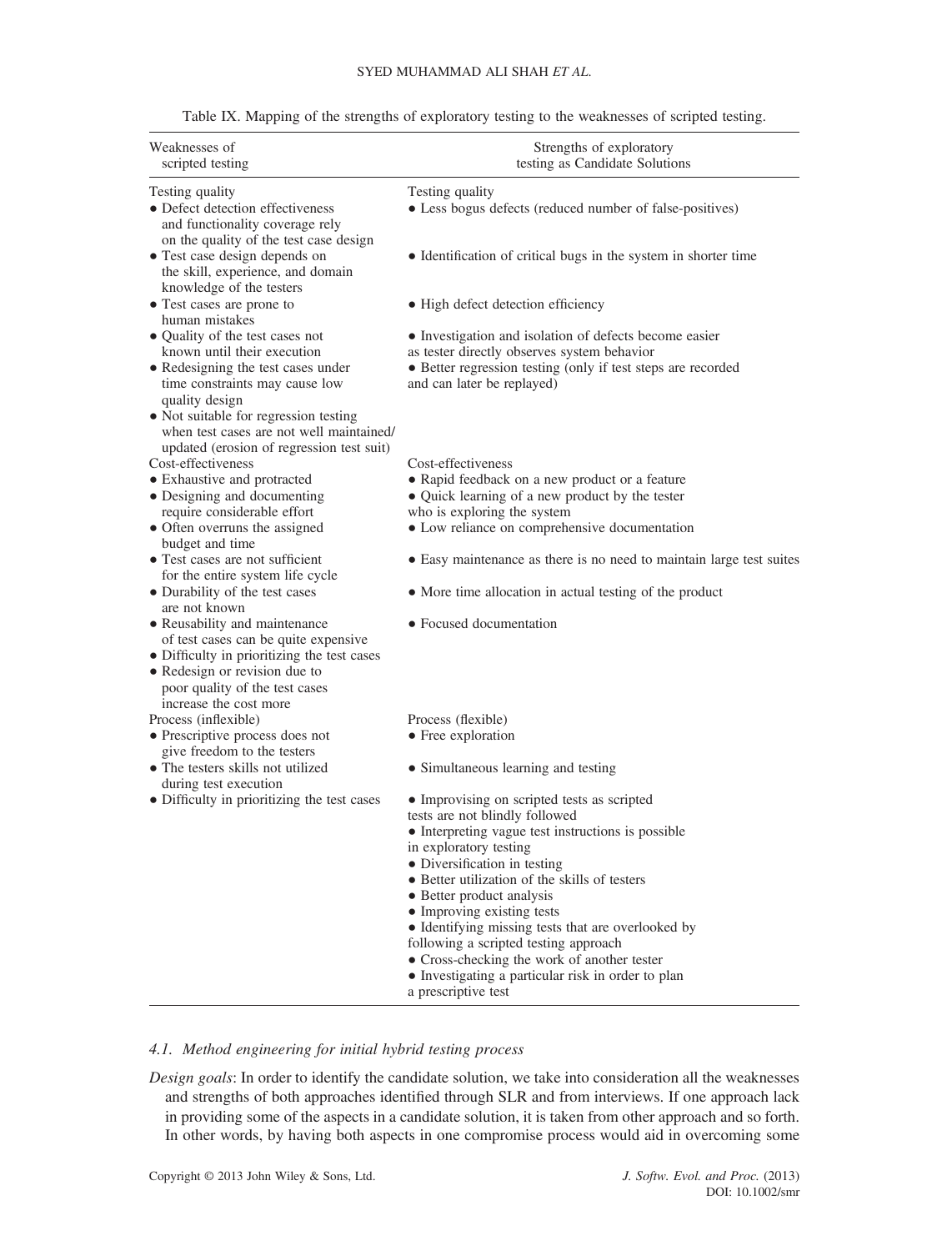# SYED MUHAMMAD ALI SHAH ET AL.

| Testing quality<br>Testing quality<br>• Defect detection effectiveness<br>• Less bogus defects (reduced number of false-positives)<br>and functionality coverage rely<br>on the quality of the test case design |  |
|-----------------------------------------------------------------------------------------------------------------------------------------------------------------------------------------------------------------|--|
|                                                                                                                                                                                                                 |  |
| • Test case design depends on<br>• Identification of critical bugs in the system in shorter time<br>the skill, experience, and domain<br>knowledge of the testers                                               |  |
| • Test cases are prone to<br>· High defect detection efficiency<br>human mistakes                                                                                                                               |  |
| • Quality of the test cases not<br>• Investigation and isolation of defects become easier<br>known until their execution<br>as tester directly observes system behavior                                         |  |
| • Redesigning the test cases under<br>• Better regression testing (only if test steps are recorded<br>time constraints may cause low<br>and can later be replayed)                                              |  |
| quality design<br>• Not suitable for regression testing<br>when test cases are not well maintained/<br>updated (erosion of regression test suit)                                                                |  |
| Cost-effectiveness<br>Cost-effectiveness                                                                                                                                                                        |  |
| • Exhaustive and protracted<br>• Rapid feedback on a new product or a feature                                                                                                                                   |  |
| • Designing and documenting<br>• Quick learning of a new product by the tester                                                                                                                                  |  |
| require considerable effort<br>who is exploring the system<br>• Low reliance on comprehensive documentation                                                                                                     |  |
| • Often overruns the assigned<br>budget and time                                                                                                                                                                |  |
| • Test cases are not sufficient<br>• Easy maintenance as there is no need to maintain large test suites<br>for the entire system life cycle                                                                     |  |
| • Durability of the test cases<br>• More time allocation in actual testing of the product<br>are not known                                                                                                      |  |
| · Focused documentation<br>• Reusability and maintenance<br>of test cases can be quite expensive                                                                                                                |  |
| • Difficulty in prioritizing the test cases<br>• Redesign or revision due to<br>poor quality of the test cases<br>increase the cost more                                                                        |  |
| Process (inflexible)<br>Process (flexible)                                                                                                                                                                      |  |
| • Prescriptive process does not<br>• Free exploration<br>give freedom to the testers                                                                                                                            |  |
| • The testers skills not utilized<br>• Simultaneous learning and testing<br>during test execution                                                                                                               |  |
| • Difficulty in prioritizing the test cases<br>• Improvising on scripted tests as scripted<br>tests are not blindly followed                                                                                    |  |
| • Interpreting vague test instructions is possible                                                                                                                                                              |  |
| in exploratory testing                                                                                                                                                                                          |  |
| • Diversification in testing                                                                                                                                                                                    |  |
| · Better utilization of the skills of testers                                                                                                                                                                   |  |
| • Better product analysis                                                                                                                                                                                       |  |
| • Improving existing tests                                                                                                                                                                                      |  |
| • Identifying missing tests that are overlooked by                                                                                                                                                              |  |
| following a scripted testing approach                                                                                                                                                                           |  |
| • Cross-checking the work of another tester                                                                                                                                                                     |  |
| • Investigating a particular risk in order to plan                                                                                                                                                              |  |
| a prescriptive test                                                                                                                                                                                             |  |

Table IX. Mapping of the strengths of exploratory testing to the weaknesses of scripted testing.

## 4.1. Method engineering for initial hybrid testing process

Design goals: In order to identify the candidate solution, we take into consideration all the weaknesses and strengths of both approaches identified through SLR and from interviews. If one approach lack in providing some of the aspects in a candidate solution, it is taken from other approach and so forth. In other words, by having both aspects in one compromise process would aid in overcoming some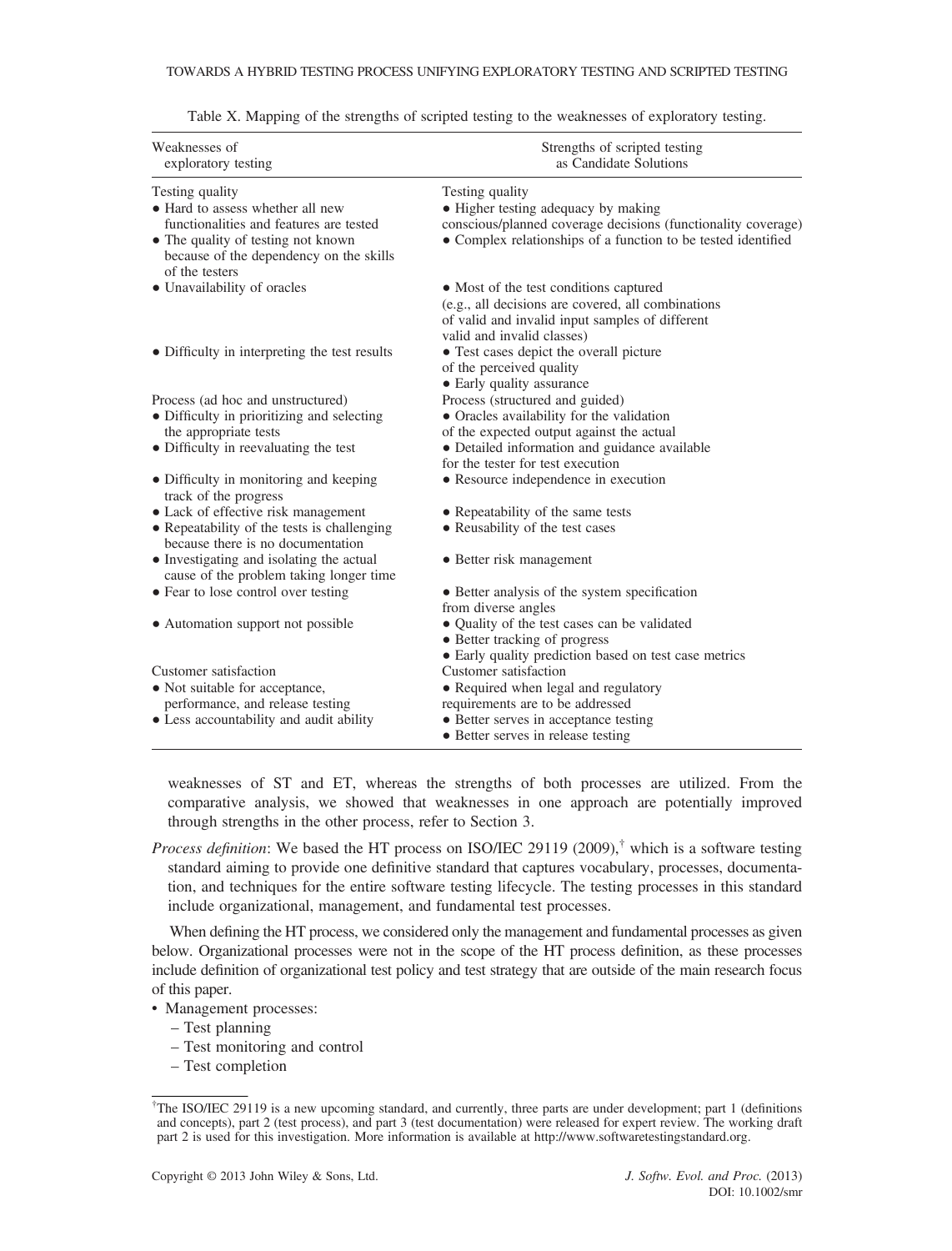| Weaknesses of<br>exploratory testing                                                                                                 | Strengths of scripted testing<br>as Candidate Solutions                                                                                                                                  |  |
|--------------------------------------------------------------------------------------------------------------------------------------|------------------------------------------------------------------------------------------------------------------------------------------------------------------------------------------|--|
| Testing quality<br>• Hard to assess whether all new<br>functionalities and features are tested<br>• The quality of testing not known | Testing quality<br>• Higher testing adequacy by making<br>conscious/planned coverage decisions (functionality coverage)<br>• Complex relationships of a function to be tested identified |  |
| because of the dependency on the skills<br>of the testers                                                                            |                                                                                                                                                                                          |  |
| • Unavailability of oracles                                                                                                          | • Most of the test conditions captured<br>(e.g., all decisions are covered, all combinations<br>of valid and invalid input samples of different<br>valid and invalid classes)            |  |
| • Difficulty in interpreting the test results                                                                                        | • Test cases depict the overall picture<br>of the perceived quality<br>• Early quality assurance                                                                                         |  |
| Process (ad hoc and unstructured)                                                                                                    | Process (structured and guided)                                                                                                                                                          |  |
| • Difficulty in prioritizing and selecting                                                                                           | • Oracles availability for the validation                                                                                                                                                |  |
| the appropriate tests                                                                                                                | of the expected output against the actual                                                                                                                                                |  |
| • Difficulty in reevaluating the test                                                                                                | • Detailed information and guidance available<br>for the tester for test execution                                                                                                       |  |
| • Difficulty in monitoring and keeping<br>track of the progress                                                                      | • Resource independence in execution                                                                                                                                                     |  |
| • Lack of effective risk management                                                                                                  | • Repeatability of the same tests                                                                                                                                                        |  |
| • Repeatability of the tests is challenging<br>because there is no documentation                                                     | • Reusability of the test cases                                                                                                                                                          |  |
| • Investigating and isolating the actual<br>cause of the problem taking longer time                                                  | • Better risk management                                                                                                                                                                 |  |
| • Fear to lose control over testing                                                                                                  | • Better analysis of the system specification<br>from diverse angles                                                                                                                     |  |
| • Automation support not possible                                                                                                    | · Quality of the test cases can be validated<br>• Better tracking of progress                                                                                                            |  |
|                                                                                                                                      | • Early quality prediction based on test case metrics                                                                                                                                    |  |
| Customer satisfaction                                                                                                                | Customer satisfaction                                                                                                                                                                    |  |
| • Not suitable for acceptance,                                                                                                       | • Required when legal and regulatory                                                                                                                                                     |  |
| performance, and release testing                                                                                                     | requirements are to be addressed                                                                                                                                                         |  |
| • Less accountability and audit ability                                                                                              | • Better serves in acceptance testing<br>• Better serves in release testing                                                                                                              |  |

weaknesses of ST and ET, whereas the strengths of both processes are utilized. From the comparative analysis, we showed that weaknesses in one approach are potentially improved through strengths in the other process, refer to Section 3.

*Process definition*: We based the HT process on ISO/IEC 29119 (2009),<sup>†</sup> which is a software testing standard aiming to provide one definitive standard that captures vocabulary, processes, documentation, and techniques for the entire software testing lifecycle. The testing processes in this standard include organizational, management, and fundamental test processes.

When defining the HT process, we considered only the management and fundamental processes as given below. Organizational processes were not in the scope of the HT process definition, as these processes include definition of organizational test policy and test strategy that are outside of the main research focus of this paper.

- Management processes:
	- Test planning
	- Test monitoring and control
	- Test completion

<sup>&</sup>lt;sup>†</sup>The ISO/IEC 29119 is a new upcoming standard, and currently, three parts are under development; part 1 (definitions and concepts), part 2 (test process), and part 3 (test documentation) were released for expert review. The working draft part 2 is used for this investigation. More information is available at [http://www.softwaretestingstandard.org.](http://www.softwaretestingstandard.org)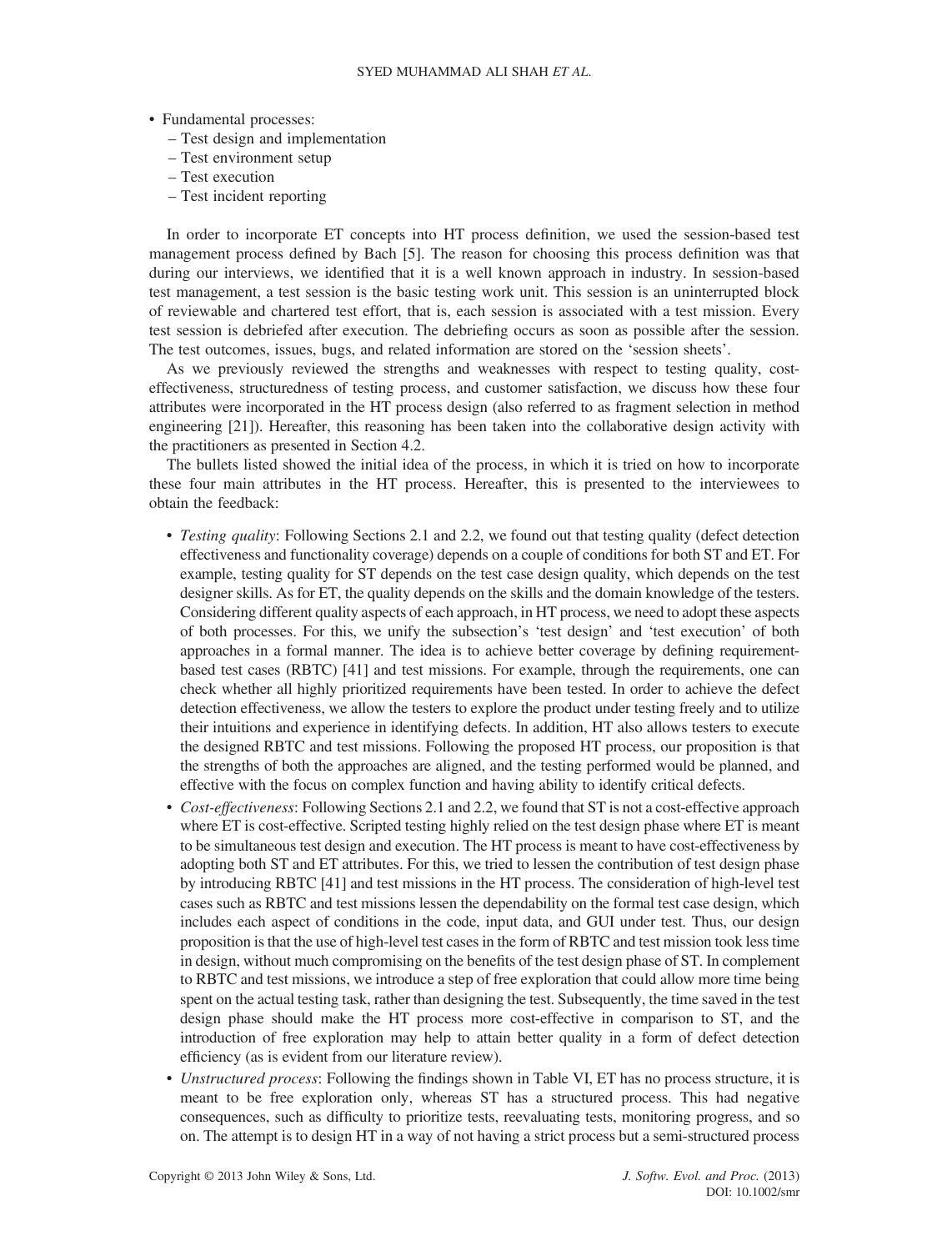- Fundamental processes:
	- Test design and implementation
	- Test environment setup
	- Test execution
	- Test incident reporting

In order to incorporate ET concepts into HT process definition, we used the session-based test management process defined by Bach [5]. The reason for choosing this process definition was that during our interviews, we identified that it is a well known approach in industry. In session-based test management, a test session is the basic testing work unit. This session is an uninterrupted block of reviewable and chartered test effort, that is, each session is associated with a test mission. Every test session is debriefed after execution. The debriefing occurs as soon as possible after the session. The test outcomes, issues, bugs, and related information are stored on the 'session sheets'.

As we previously reviewed the strengths and weaknesses with respect to testing quality, costeffectiveness, structuredness of testing process, and customer satisfaction, we discuss how these four attributes were incorporated in the HT process design (also referred to as fragment selection in method engineering [21]). Hereafter, this reasoning has been taken into the collaborative design activity with the practitioners as presented in Section 4.2.

The bullets listed showed the initial idea of the process, in which it is tried on how to incorporate these four main attributes in the HT process. Hereafter, this is presented to the interviewees to obtain the feedback:

- Testing quality: Following Sections 2.1 and 2.2, we found out that testing quality (defect detection effectiveness and functionality coverage) depends on a couple of conditions for both ST and ET. For example, testing quality for ST depends on the test case design quality, which depends on the test designer skills. As for ET, the quality depends on the skills and the domain knowledge of the testers. Considering different quality aspects of each approach, in HT process, we need to adopt these aspects of both processes. For this, we unify the subsection's 'test design' and 'test execution' of both approaches in a formal manner. The idea is to achieve better coverage by defining requirementbased test cases (RBTC) [41] and test missions. For example, through the requirements, one can check whether all highly prioritized requirements have been tested. In order to achieve the defect detection effectiveness, we allow the testers to explore the product under testing freely and to utilize their intuitions and experience in identifying defects. In addition, HT also allows testers to execute the designed RBTC and test missions. Following the proposed HT process, our proposition is that the strengths of both the approaches are aligned, and the testing performed would be planned, and effective with the focus on complex function and having ability to identify critical defects.
- Cost-effectiveness: Following Sections 2.1 and 2.2, we found that ST is not a cost-effective approach where ET is cost-effective. Scripted testing highly relied on the test design phase where ET is meant to be simultaneous test design and execution. The HT process is meant to have cost-effectiveness by adopting both ST and ET attributes. For this, we tried to lessen the contribution of test design phase by introducing RBTC [41] and test missions in the HT process. The consideration of high-level test cases such as RBTC and test missions lessen the dependability on the formal test case design, which includes each aspect of conditions in the code, input data, and GUI under test. Thus, our design proposition is that the use of high-level test cases in the form of RBTC and test mission took less time in design, without much compromising on the benefits of the test design phase of ST. In complement to RBTC and test missions, we introduce a step of free exploration that could allow more time being spent on the actual testing task, rather than designing the test. Subsequently, the time saved in the test design phase should make the HT process more cost-effective in comparison to ST, and the introduction of free exploration may help to attain better quality in a form of defect detection efficiency (as is evident from our literature review).
- Unstructured process: Following the findings shown in Table VI, ET has no process structure, it is meant to be free exploration only, whereas ST has a structured process. This had negative consequences, such as difficulty to prioritize tests, reevaluating tests, monitoring progress, and so on. The attempt is to design HT in a way of not having a strict process but a semi-structured process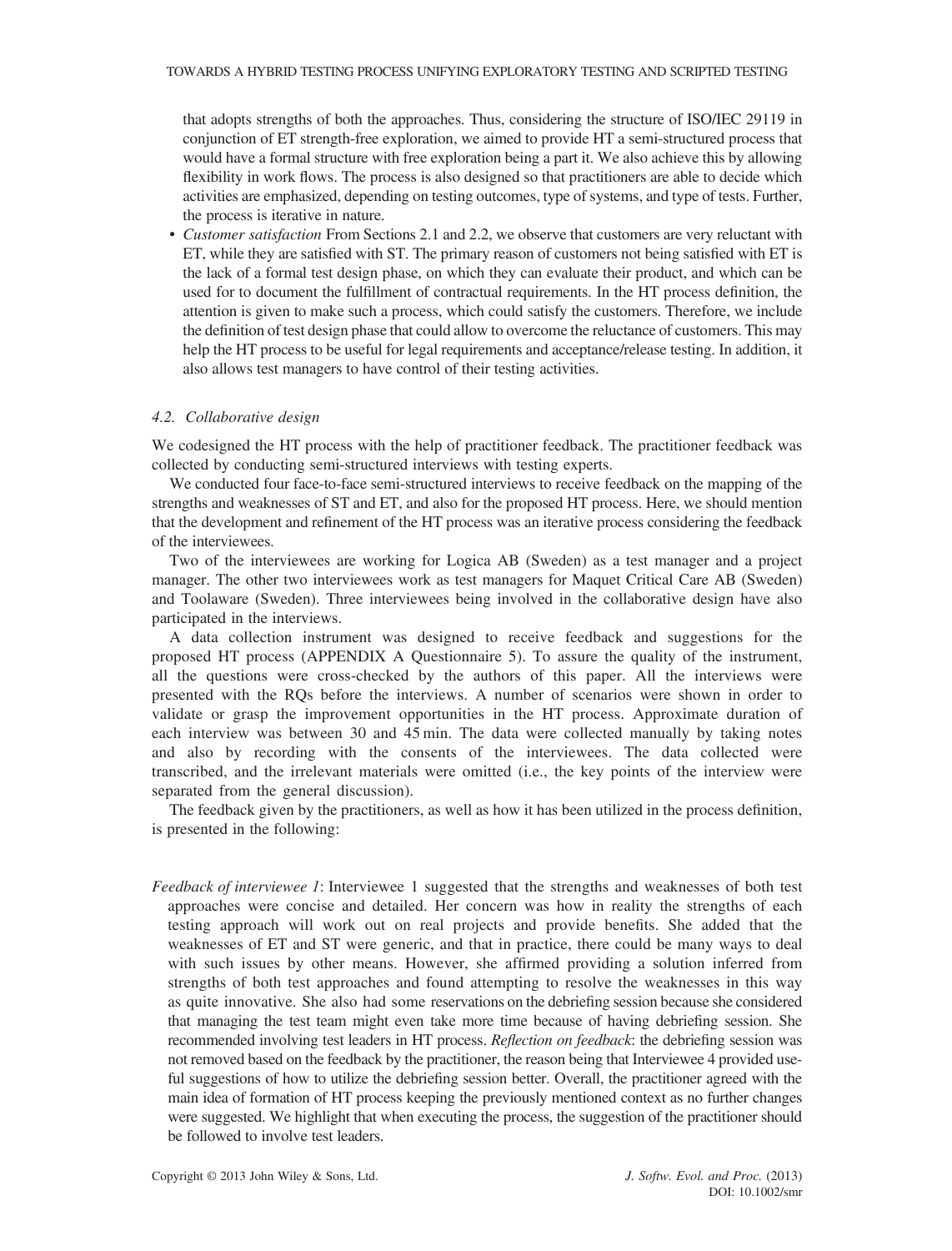that adopts strengths of both the approaches. Thus, considering the structure of ISO/IEC 29119 in conjunction of ET strength-free exploration, we aimed to provide HT a semi-structured process that would have a formal structure with free exploration being a part it. We also achieve this by allowing flexibility in work flows. The process is also designed so that practitioners are able to decide which activities are emphasized, depending on testing outcomes, type of systems, and type of tests. Further, the process is iterative in nature.

• Customer satisfaction From Sections 2.1 and 2.2, we observe that customers are very reluctant with ET, while they are satisfied with ST. The primary reason of customers not being satisfied with ET is the lack of a formal test design phase, on which they can evaluate their product, and which can be used for to document the fulfillment of contractual requirements. In the HT process definition, the attention is given to make such a process, which could satisfy the customers. Therefore, we include the definition of test design phase that could allow to overcome the reluctance of customers. This may help the HT process to be useful for legal requirements and acceptance/release testing. In addition, it also allows test managers to have control of their testing activities.

#### 4.2. Collaborative design

We codesigned the HT process with the help of practitioner feedback. The practitioner feedback was collected by conducting semi-structured interviews with testing experts.

We conducted four face-to-face semi-structured interviews to receive feedback on the mapping of the strengths and weaknesses of ST and ET, and also for the proposed HT process. Here, we should mention that the development and refinement of the HT process was an iterative process considering the feedback of the interviewees.

Two of the interviewees are working for Logica AB (Sweden) as a test manager and a project manager. The other two interviewees work as test managers for Maquet Critical Care AB (Sweden) and Toolaware (Sweden). Three interviewees being involved in the collaborative design have also participated in the interviews.

A data collection instrument was designed to receive feedback and suggestions for the proposed HT process (APPENDIX A Questionnaire 5). To assure the quality of the instrument, all the questions were cross-checked by the authors of this paper. All the interviews were presented with the RQs before the interviews. A number of scenarios were shown in order to validate or grasp the improvement opportunities in the HT process. Approximate duration of each interview was between 30 and 45 min. The data were collected manually by taking notes and also by recording with the consents of the interviewees. The data collected were transcribed, and the irrelevant materials were omitted (i.e., the key points of the interview were separated from the general discussion).

The feedback given by the practitioners, as well as how it has been utilized in the process definition, is presented in the following:

Feedback of interviewee 1: Interviewee 1 suggested that the strengths and weaknesses of both test approaches were concise and detailed. Her concern was how in reality the strengths of each testing approach will work out on real projects and provide benefits. She added that the weaknesses of ET and ST were generic, and that in practice, there could be many ways to deal with such issues by other means. However, she affirmed providing a solution inferred from strengths of both test approaches and found attempting to resolve the weaknesses in this way as quite innovative. She also had some reservations on the debriefing session because she considered that managing the test team might even take more time because of having debriefing session. She recommended involving test leaders in HT process. Reflection on feedback: the debriefing session was not removed based on the feedback by the practitioner, the reason being that Interviewee 4 provided useful suggestions of how to utilize the debriefing session better. Overall, the practitioner agreed with the main idea of formation of HT process keeping the previously mentioned context as no further changes were suggested. We highlight that when executing the process, the suggestion of the practitioner should be followed to involve test leaders.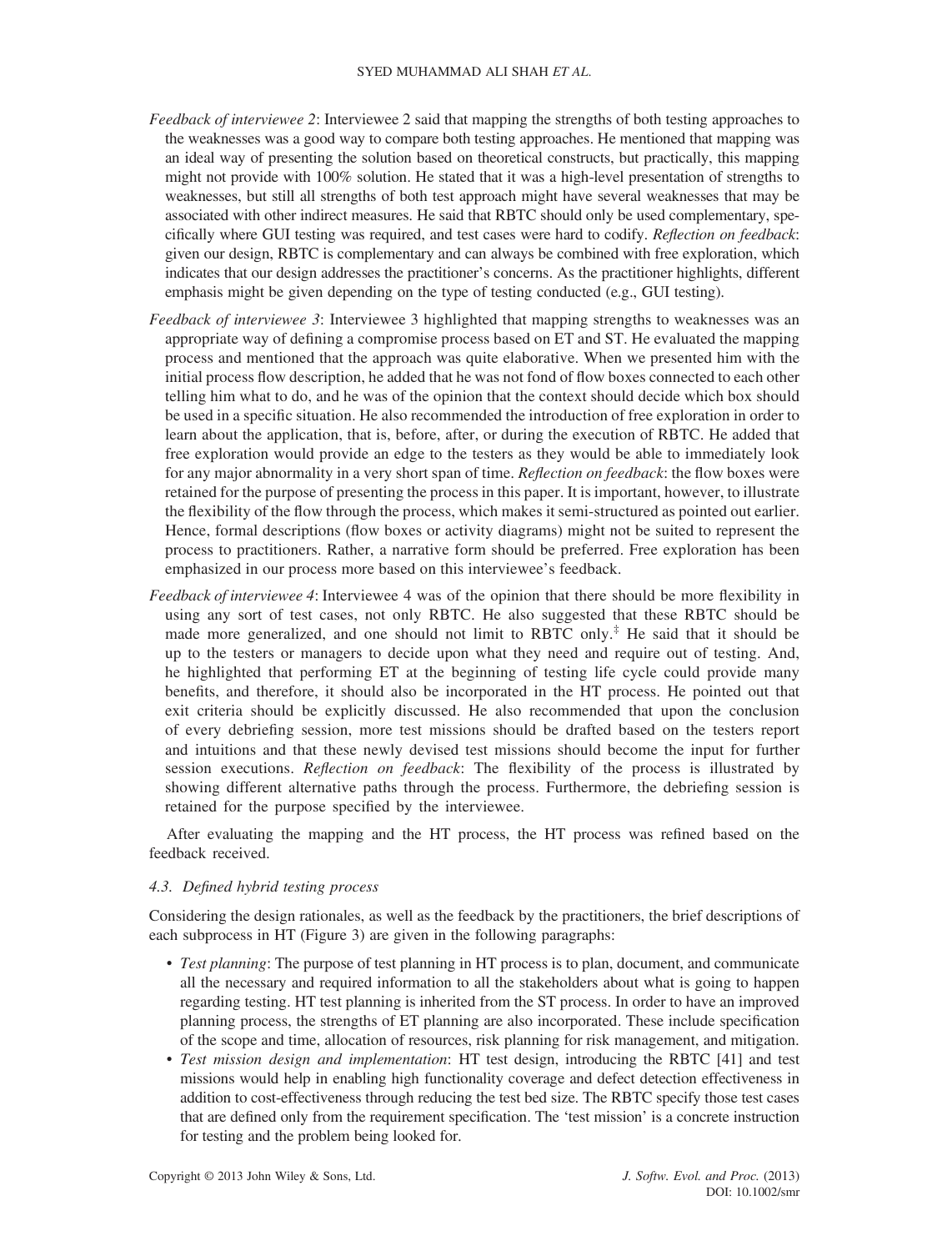- Feedback of interviewee 2: Interviewee 2 said that mapping the strengths of both testing approaches to the weaknesses was a good way to compare both testing approaches. He mentioned that mapping was an ideal way of presenting the solution based on theoretical constructs, but practically, this mapping might not provide with 100% solution. He stated that it was a high-level presentation of strengths to weaknesses, but still all strengths of both test approach might have several weaknesses that may be associated with other indirect measures. He said that RBTC should only be used complementary, specifically where GUI testing was required, and test cases were hard to codify. Reflection on feedback: given our design, RBTC is complementary and can always be combined with free exploration, which indicates that our design addresses the practitioner's concerns. As the practitioner highlights, different emphasis might be given depending on the type of testing conducted (e.g., GUI testing).
- Feedback of interviewee 3: Interviewee 3 highlighted that mapping strengths to weaknesses was an appropriate way of defining a compromise process based on ET and ST. He evaluated the mapping process and mentioned that the approach was quite elaborative. When we presented him with the initial process flow description, he added that he was not fond of flow boxes connected to each other telling him what to do, and he was of the opinion that the context should decide which box should be used in a specific situation. He also recommended the introduction of free exploration in order to learn about the application, that is, before, after, or during the execution of RBTC. He added that free exploration would provide an edge to the testers as they would be able to immediately look for any major abnormality in a very short span of time. Reflection on feedback: the flow boxes were retained for the purpose of presenting the process in this paper. It is important, however, to illustrate the flexibility of the flow through the process, which makes it semi-structured as pointed out earlier. Hence, formal descriptions (flow boxes or activity diagrams) might not be suited to represent the process to practitioners. Rather, a narrative form should be preferred. Free exploration has been emphasized in our process more based on this interviewee's feedback.
- Feedback of interviewee 4: Interviewee 4 was of the opinion that there should be more flexibility in using any sort of test cases, not only RBTC. He also suggested that these RBTC should be made more generalized, and one should not limit to RBTC only.<sup> $\ddagger$ </sup> He said that it should be up to the testers or managers to decide upon what they need and require out of testing. And, he highlighted that performing ET at the beginning of testing life cycle could provide many benefits, and therefore, it should also be incorporated in the HT process. He pointed out that exit criteria should be explicitly discussed. He also recommended that upon the conclusion of every debriefing session, more test missions should be drafted based on the testers report and intuitions and that these newly devised test missions should become the input for further session executions. Reflection on feedback: The flexibility of the process is illustrated by showing different alternative paths through the process. Furthermore, the debriefing session is retained for the purpose specified by the interviewee.

After evaluating the mapping and the HT process, the HT process was refined based on the feedback received.

## 4.3. Defined hybrid testing process

Considering the design rationales, as well as the feedback by the practitioners, the brief descriptions of each subprocess in HT (Figure 3) are given in the following paragraphs:

- Test planning: The purpose of test planning in HT process is to plan, document, and communicate all the necessary and required information to all the stakeholders about what is going to happen regarding testing. HT test planning is inherited from the ST process. In order to have an improved planning process, the strengths of ET planning are also incorporated. These include specification of the scope and time, allocation of resources, risk planning for risk management, and mitigation.
- Test mission design and implementation: HT test design, introducing the RBTC [41] and test missions would help in enabling high functionality coverage and defect detection effectiveness in addition to cost-effectiveness through reducing the test bed size. The RBTC specify those test cases that are defined only from the requirement specification. The 'test mission' is a concrete instruction for testing and the problem being looked for.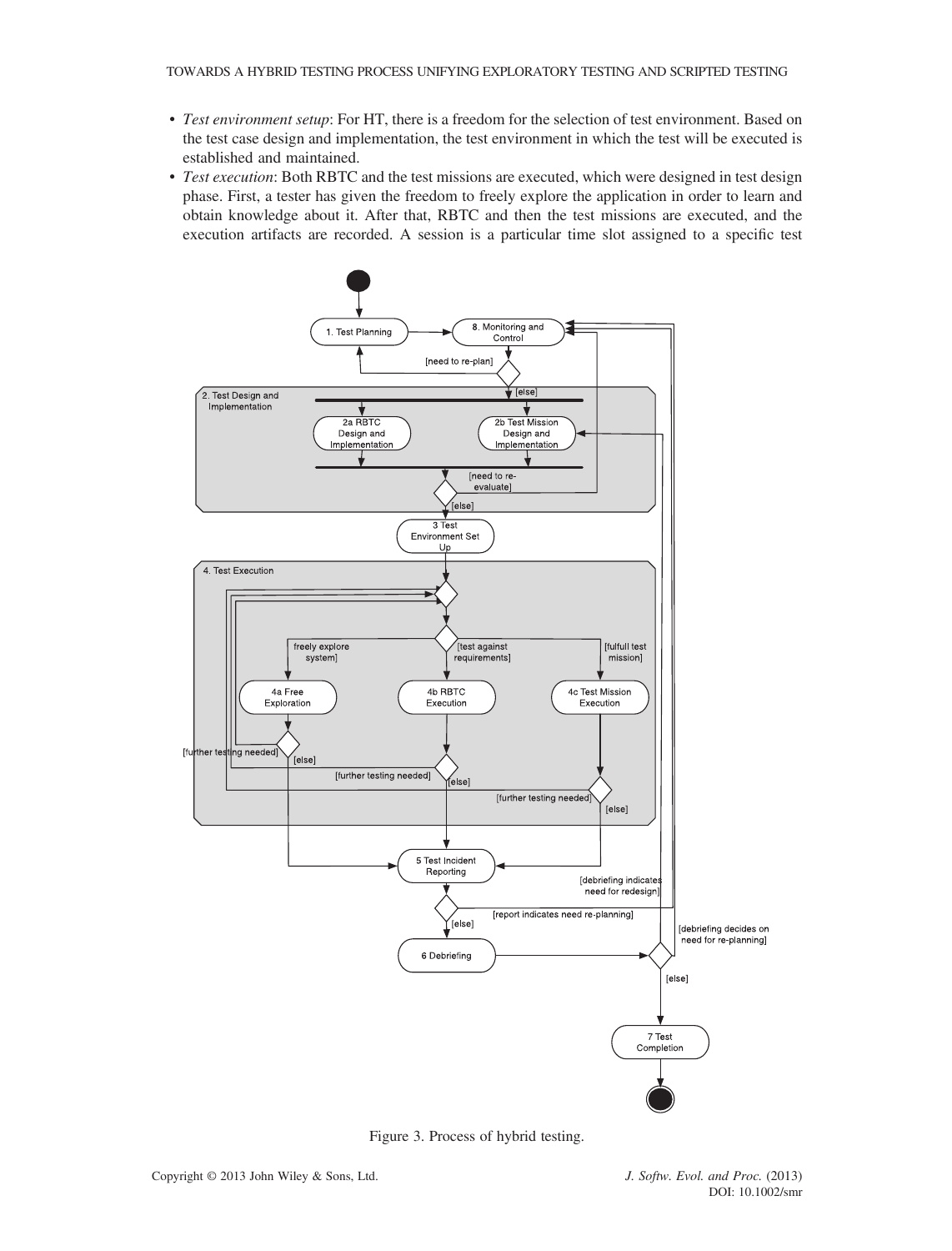- Test environment setup: For HT, there is a freedom for the selection of test environment. Based on the test case design and implementation, the test environment in which the test will be executed is established and maintained.
- Test execution: Both RBTC and the test missions are executed, which were designed in test design phase. First, a tester has given the freedom to freely explore the application in order to learn and obtain knowledge about it. After that, RBTC and then the test missions are executed, and the execution artifacts are recorded. A session is a particular time slot assigned to a specific test



Figure 3. Process of hybrid testing.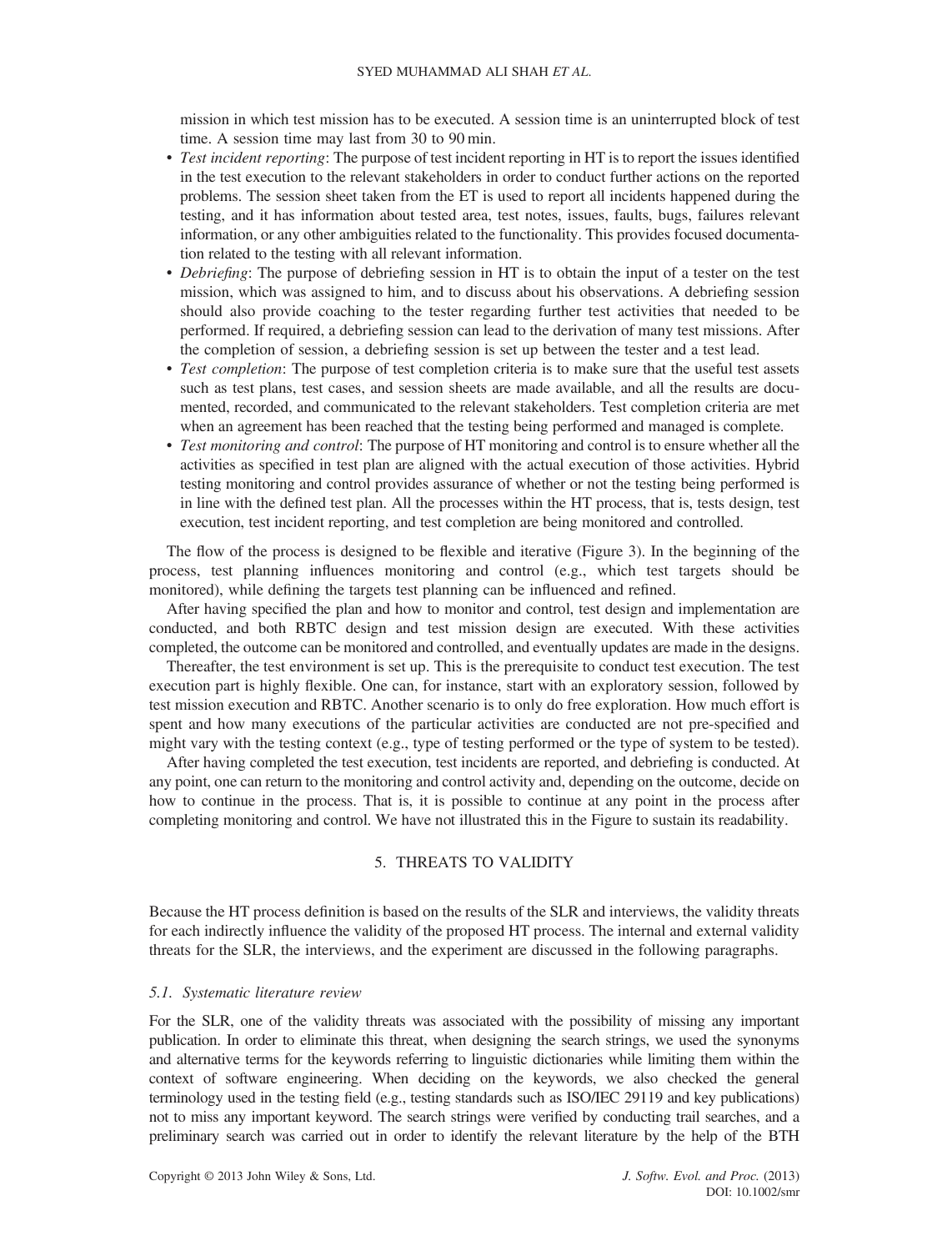mission in which test mission has to be executed. A session time is an uninterrupted block of test time. A session time may last from 30 to 90 min.

- Test incident reporting: The purpose of test incident reporting in HT is to report the issues identified in the test execution to the relevant stakeholders in order to conduct further actions on the reported problems. The session sheet taken from the ET is used to report all incidents happened during the testing, and it has information about tested area, test notes, issues, faults, bugs, failures relevant information, or any other ambiguities related to the functionality. This provides focused documentation related to the testing with all relevant information.
- Debriefing: The purpose of debriefing session in HT is to obtain the input of a tester on the test mission, which was assigned to him, and to discuss about his observations. A debriefing session should also provide coaching to the tester regarding further test activities that needed to be performed. If required, a debriefing session can lead to the derivation of many test missions. After the completion of session, a debriefing session is set up between the tester and a test lead.
- Test completion: The purpose of test completion criteria is to make sure that the useful test assets such as test plans, test cases, and session sheets are made available, and all the results are documented, recorded, and communicated to the relevant stakeholders. Test completion criteria are met when an agreement has been reached that the testing being performed and managed is complete.
- Test monitoring and control: The purpose of HT monitoring and control is to ensure whether all the activities as specified in test plan are aligned with the actual execution of those activities. Hybrid testing monitoring and control provides assurance of whether or not the testing being performed is in line with the defined test plan. All the processes within the HT process, that is, tests design, test execution, test incident reporting, and test completion are being monitored and controlled.

The flow of the process is designed to be flexible and iterative (Figure 3). In the beginning of the process, test planning influences monitoring and control (e.g., which test targets should be monitored), while defining the targets test planning can be influenced and refined.

After having specified the plan and how to monitor and control, test design and implementation are conducted, and both RBTC design and test mission design are executed. With these activities completed, the outcome can be monitored and controlled, and eventually updates are made in the designs.

Thereafter, the test environment is set up. This is the prerequisite to conduct test execution. The test execution part is highly flexible. One can, for instance, start with an exploratory session, followed by test mission execution and RBTC. Another scenario is to only do free exploration. How much effort is spent and how many executions of the particular activities are conducted are not pre-specified and might vary with the testing context (e.g., type of testing performed or the type of system to be tested).

After having completed the test execution, test incidents are reported, and debriefing is conducted. At any point, one can return to the monitoring and control activity and, depending on the outcome, decide on how to continue in the process. That is, it is possible to continue at any point in the process after completing monitoring and control. We have not illustrated this in the Figure to sustain its readability.

# 5. THREATS TO VALIDITY

Because the HT process definition is based on the results of the SLR and interviews, the validity threats for each indirectly influence the validity of the proposed HT process. The internal and external validity threats for the SLR, the interviews, and the experiment are discussed in the following paragraphs.

#### 5.1. Systematic literature review

For the SLR, one of the validity threats was associated with the possibility of missing any important publication. In order to eliminate this threat, when designing the search strings, we used the synonyms and alternative terms for the keywords referring to linguistic dictionaries while limiting them within the context of software engineering. When deciding on the keywords, we also checked the general terminology used in the testing field (e.g., testing standards such as ISO/IEC 29119 and key publications) not to miss any important keyword. The search strings were verified by conducting trail searches, and a preliminary search was carried out in order to identify the relevant literature by the help of the BTH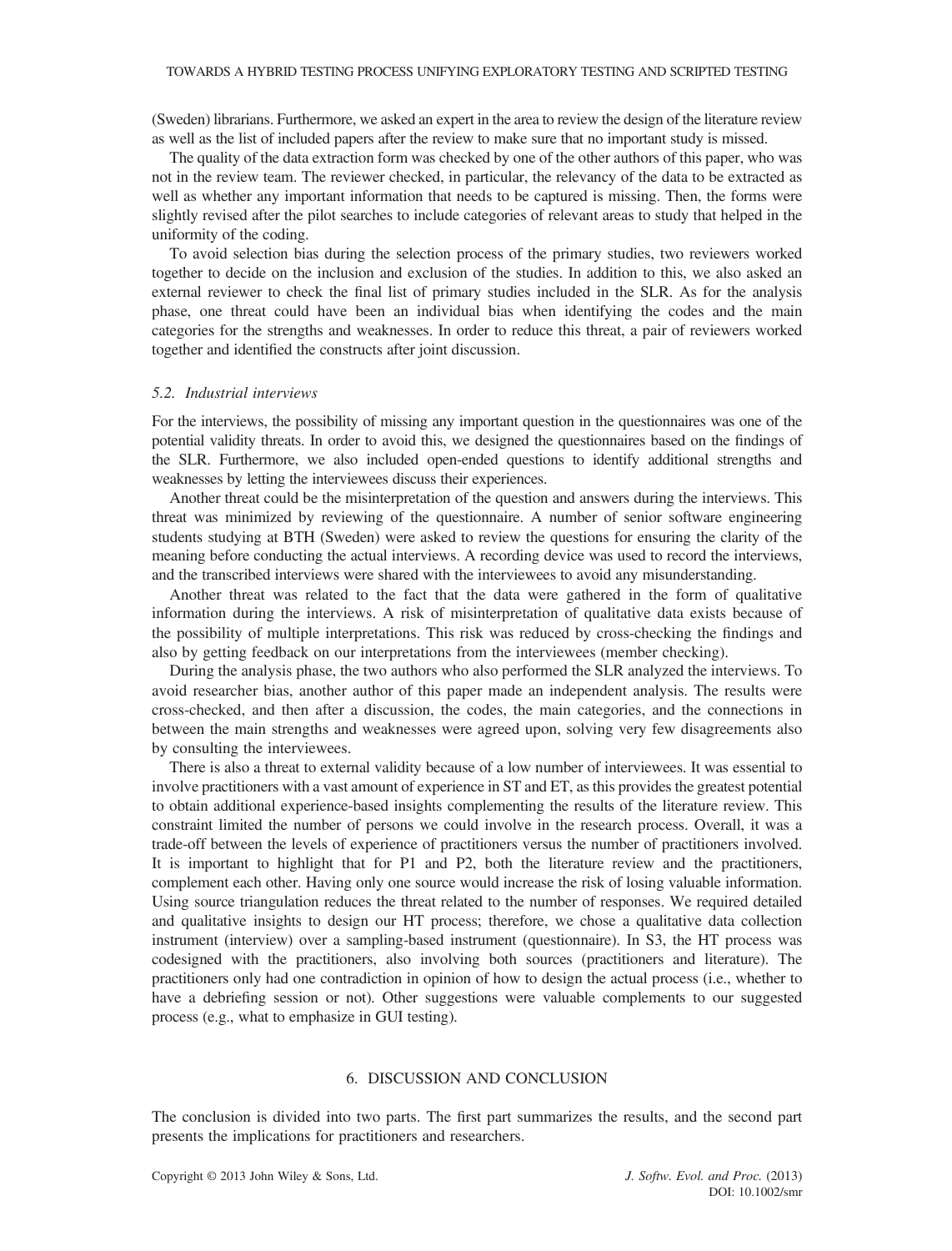(Sweden) librarians. Furthermore, we asked an expert in the area to review the design of the literature review as well as the list of included papers after the review to make sure that no important study is missed.

The quality of the data extraction form was checked by one of the other authors of this paper, who was not in the review team. The reviewer checked, in particular, the relevancy of the data to be extracted as well as whether any important information that needs to be captured is missing. Then, the forms were slightly revised after the pilot searches to include categories of relevant areas to study that helped in the uniformity of the coding.

To avoid selection bias during the selection process of the primary studies, two reviewers worked together to decide on the inclusion and exclusion of the studies. In addition to this, we also asked an external reviewer to check the final list of primary studies included in the SLR. As for the analysis phase, one threat could have been an individual bias when identifying the codes and the main categories for the strengths and weaknesses. In order to reduce this threat, a pair of reviewers worked together and identified the constructs after joint discussion.

#### 5.2. Industrial interviews

For the interviews, the possibility of missing any important question in the questionnaires was one of the potential validity threats. In order to avoid this, we designed the questionnaires based on the findings of the SLR. Furthermore, we also included open-ended questions to identify additional strengths and weaknesses by letting the interviewees discuss their experiences.

Another threat could be the misinterpretation of the question and answers during the interviews. This threat was minimized by reviewing of the questionnaire. A number of senior software engineering students studying at BTH (Sweden) were asked to review the questions for ensuring the clarity of the meaning before conducting the actual interviews. A recording device was used to record the interviews, and the transcribed interviews were shared with the interviewees to avoid any misunderstanding.

Another threat was related to the fact that the data were gathered in the form of qualitative information during the interviews. A risk of misinterpretation of qualitative data exists because of the possibility of multiple interpretations. This risk was reduced by cross-checking the findings and also by getting feedback on our interpretations from the interviewees (member checking).

During the analysis phase, the two authors who also performed the SLR analyzed the interviews. To avoid researcher bias, another author of this paper made an independent analysis. The results were cross-checked, and then after a discussion, the codes, the main categories, and the connections in between the main strengths and weaknesses were agreed upon, solving very few disagreements also by consulting the interviewees.

There is also a threat to external validity because of a low number of interviewees. It was essential to involve practitioners with a vast amount of experience in ST and ET, as this provides the greatest potential to obtain additional experience-based insights complementing the results of the literature review. This constraint limited the number of persons we could involve in the research process. Overall, it was a trade-off between the levels of experience of practitioners versus the number of practitioners involved. It is important to highlight that for P1 and P2, both the literature review and the practitioners, complement each other. Having only one source would increase the risk of losing valuable information. Using source triangulation reduces the threat related to the number of responses. We required detailed and qualitative insights to design our HT process; therefore, we chose a qualitative data collection instrument (interview) over a sampling-based instrument (questionnaire). In S3, the HT process was codesigned with the practitioners, also involving both sources (practitioners and literature). The practitioners only had one contradiction in opinion of how to design the actual process (i.e., whether to have a debriefing session or not). Other suggestions were valuable complements to our suggested process (e.g., what to emphasize in GUI testing).

#### 6. DISCUSSION AND CONCLUSION

The conclusion is divided into two parts. The first part summarizes the results, and the second part presents the implications for practitioners and researchers.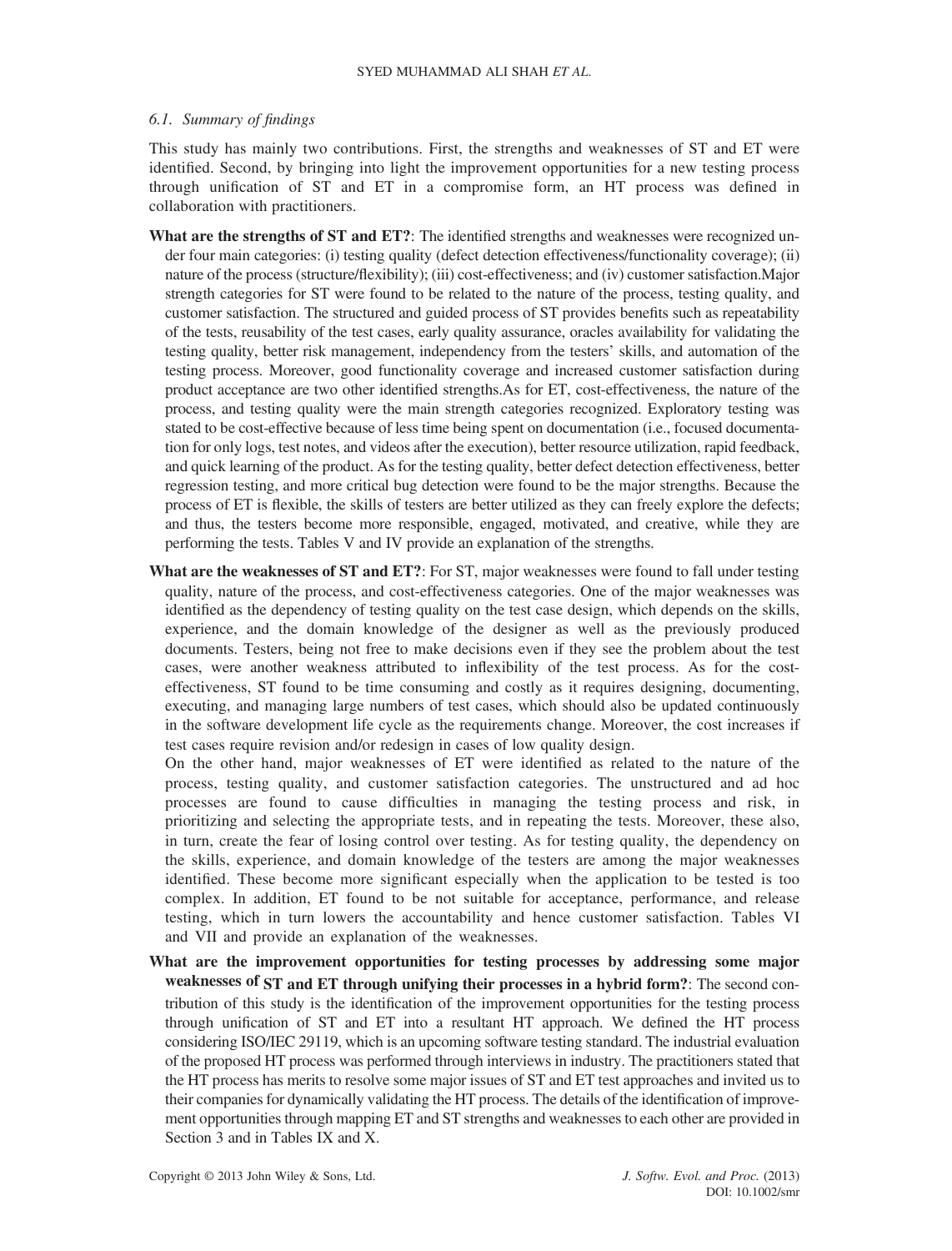# 6.1. Summary of findings

This study has mainly two contributions. First, the strengths and weaknesses of ST and ET were identified. Second, by bringing into light the improvement opportunities for a new testing process through unification of ST and ET in a compromise form, an HT process was defined in collaboration with practitioners.

- What are the strengths of ST and ET?: The identified strengths and weaknesses were recognized under four main categories: (i) testing quality (defect detection effectiveness/functionality coverage); (ii) nature of the process (structure/flexibility); (iii) cost-effectiveness; and (iv) customer satisfaction.Major strength categories for ST were found to be related to the nature of the process, testing quality, and customer satisfaction. The structured and guided process of ST provides benefits such as repeatability of the tests, reusability of the test cases, early quality assurance, oracles availability for validating the testing quality, better risk management, independency from the testers' skills, and automation of the testing process. Moreover, good functionality coverage and increased customer satisfaction during product acceptance are two other identified strengths.As for ET, cost-effectiveness, the nature of the process, and testing quality were the main strength categories recognized. Exploratory testing was stated to be cost-effective because of less time being spent on documentation (i.e., focused documentation for only logs, test notes, and videos after the execution), better resource utilization, rapid feedback, and quick learning of the product. As for the testing quality, better defect detection effectiveness, better regression testing, and more critical bug detection were found to be the major strengths. Because the process of ET is flexible, the skills of testers are better utilized as they can freely explore the defects; and thus, the testers become more responsible, engaged, motivated, and creative, while they are performing the tests. Tables V and IV provide an explanation of the strengths.
- What are the weaknesses of ST and ET?: For ST, major weaknesses were found to fall under testing quality, nature of the process, and cost-effectiveness categories. One of the major weaknesses was identified as the dependency of testing quality on the test case design, which depends on the skills, experience, and the domain knowledge of the designer as well as the previously produced documents. Testers, being not free to make decisions even if they see the problem about the test cases, were another weakness attributed to inflexibility of the test process. As for the costeffectiveness, ST found to be time consuming and costly as it requires designing, documenting, executing, and managing large numbers of test cases, which should also be updated continuously in the software development life cycle as the requirements change. Moreover, the cost increases if test cases require revision and/or redesign in cases of low quality design.

On the other hand, major weaknesses of ET were identified as related to the nature of the process, testing quality, and customer satisfaction categories. The unstructured and ad hoc processes are found to cause difficulties in managing the testing process and risk, in prioritizing and selecting the appropriate tests, and in repeating the tests. Moreover, these also, in turn, create the fear of losing control over testing. As for testing quality, the dependency on the skills, experience, and domain knowledge of the testers are among the major weaknesses identified. These become more significant especially when the application to be tested is too complex. In addition, ET found to be not suitable for acceptance, performance, and release testing, which in turn lowers the accountability and hence customer satisfaction. Tables VI and VII and provide an explanation of the weaknesses.

What are the improvement opportunities for testing processes by addressing some major weaknesses of ST and ET through unifying their processes in a hybrid form?: The second contribution of this study is the identification of the improvement opportunities for the testing process through unification of ST and ET into a resultant HT approach. We defined the HT process considering ISO/IEC 29119, which is an upcoming software testing standard. The industrial evaluation of the proposed HT process was performed through interviews in industry. The practitioners stated that the HT process has merits to resolve some major issues of ST and ET test approaches and invited us to their companies for dynamically validating the HT process. The details of the identification of improvement opportunities through mapping ET and ST strengths and weaknesses to each other are provided in Section 3 and in Tables IX and X.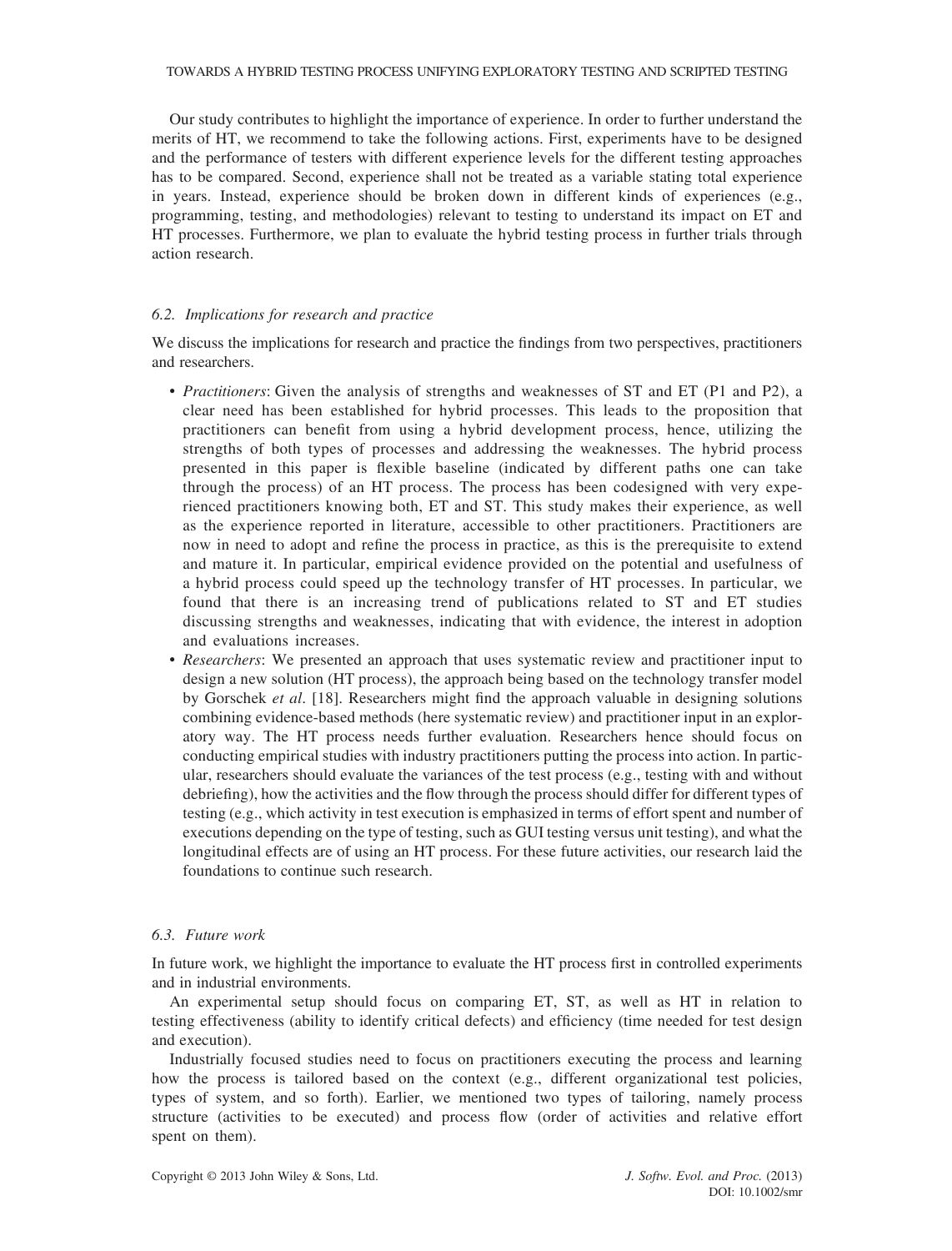#### TOWARDS A HYBRID TESTING PROCESS UNIFYING EXPLORATORY TESTING AND SCRIPTED TESTING

Our study contributes to highlight the importance of experience. In order to further understand the merits of HT, we recommend to take the following actions. First, experiments have to be designed and the performance of testers with different experience levels for the different testing approaches has to be compared. Second, experience shall not be treated as a variable stating total experience in years. Instead, experience should be broken down in different kinds of experiences (e.g., programming, testing, and methodologies) relevant to testing to understand its impact on ET and HT processes. Furthermore, we plan to evaluate the hybrid testing process in further trials through action research.

#### 6.2. Implications for research and practice

We discuss the implications for research and practice the findings from two perspectives, practitioners and researchers.

- *Practitioners:* Given the analysis of strengths and weaknesses of ST and ET (P1 and P2), a clear need has been established for hybrid processes. This leads to the proposition that practitioners can benefit from using a hybrid development process, hence, utilizing the strengths of both types of processes and addressing the weaknesses. The hybrid process presented in this paper is flexible baseline (indicated by different paths one can take through the process) of an HT process. The process has been codesigned with very experienced practitioners knowing both, ET and ST. This study makes their experience, as well as the experience reported in literature, accessible to other practitioners. Practitioners are now in need to adopt and refine the process in practice, as this is the prerequisite to extend and mature it. In particular, empirical evidence provided on the potential and usefulness of a hybrid process could speed up the technology transfer of HT processes. In particular, we found that there is an increasing trend of publications related to ST and ET studies discussing strengths and weaknesses, indicating that with evidence, the interest in adoption and evaluations increases.
- Researchers: We presented an approach that uses systematic review and practitioner input to design a new solution (HT process), the approach being based on the technology transfer model by Gorschek et al. [18]. Researchers might find the approach valuable in designing solutions combining evidence-based methods (here systematic review) and practitioner input in an exploratory way. The HT process needs further evaluation. Researchers hence should focus on conducting empirical studies with industry practitioners putting the process into action. In particular, researchers should evaluate the variances of the test process (e.g., testing with and without debriefing), how the activities and the flow through the process should differ for different types of testing (e.g., which activity in test execution is emphasized in terms of effort spent and number of executions depending on the type of testing, such as GUI testing versus unit testing), and what the longitudinal effects are of using an HT process. For these future activities, our research laid the foundations to continue such research.

#### 6.3. Future work

In future work, we highlight the importance to evaluate the HT process first in controlled experiments and in industrial environments.

An experimental setup should focus on comparing ET, ST, as well as HT in relation to testing effectiveness (ability to identify critical defects) and efficiency (time needed for test design and execution).

Industrially focused studies need to focus on practitioners executing the process and learning how the process is tailored based on the context (e.g., different organizational test policies, types of system, and so forth). Earlier, we mentioned two types of tailoring, namely process structure (activities to be executed) and process flow (order of activities and relative effort spent on them).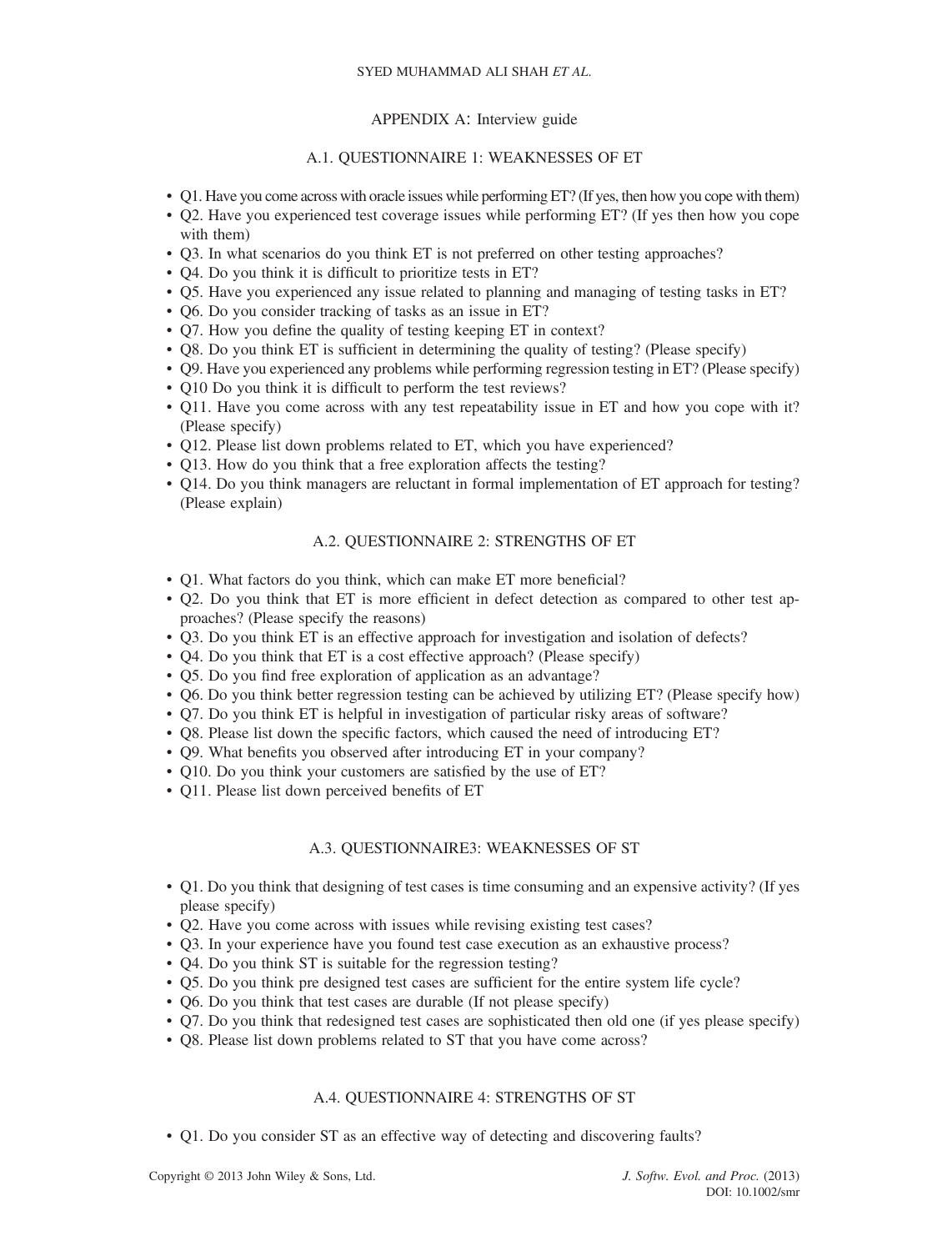# APPENDIX A: Interview guide

# A.1. QUESTIONNAIRE 1: WEAKNESSES OF ET

- Q1. Have you come across with oracle issues while performing ET? (If yes, then how you cope with them)
- Q2. Have you experienced test coverage issues while performing ET? (If yes then how you cope with them)
- Q3. In what scenarios do you think ET is not preferred on other testing approaches?
- Q4. Do you think it is difficult to prioritize tests in ET?
- Q5. Have you experienced any issue related to planning and managing of testing tasks in ET?
- Q6. Do you consider tracking of tasks as an issue in ET?
- Q7. How you define the quality of testing keeping ET in context?
- Q8. Do you think ET is sufficient in determining the quality of testing? (Please specify)
- Q9. Have you experienced any problems while performing regression testing in ET? (Please specify)
- Q10 Do you think it is difficult to perform the test reviews?
- Q11. Have you come across with any test repeatability issue in ET and how you cope with it? (Please specify)
- Q12. Please list down problems related to ET, which you have experienced?
- Q13. How do you think that a free exploration affects the testing?
- Q14. Do you think managers are reluctant in formal implementation of ET approach for testing? (Please explain)

# A.2. QUESTIONNAIRE 2: STRENGTHS OF ET

- Q1. What factors do you think, which can make ET more beneficial?
- Q2. Do you think that ET is more efficient in defect detection as compared to other test approaches? (Please specify the reasons)
- Q3. Do you think ET is an effective approach for investigation and isolation of defects?
- Q4. Do you think that ET is a cost effective approach? (Please specify)
- Q5. Do you find free exploration of application as an advantage?
- Q6. Do you think better regression testing can be achieved by utilizing ET? (Please specify how)
- Q7. Do you think ET is helpful in investigation of particular risky areas of software?
- Q8. Please list down the specific factors, which caused the need of introducing ET?
- Q9. What benefits you observed after introducing ET in your company?
- Q10. Do you think your customers are satisfied by the use of ET?
- Q11. Please list down perceived benefits of ET

# A.3. QUESTIONNAIRE3: WEAKNESSES OF ST

- Q1. Do you think that designing of test cases is time consuming and an expensive activity? (If yes please specify)
- Q2. Have you come across with issues while revising existing test cases?
- Q3. In your experience have you found test case execution as an exhaustive process?
- Q4. Do you think ST is suitable for the regression testing?
- Q5. Do you think pre designed test cases are sufficient for the entire system life cycle?
- Q6. Do you think that test cases are durable (If not please specify)
- Q7. Do you think that redesigned test cases are sophisticated then old one (if yes please specify)
- Q8. Please list down problems related to ST that you have come across?

# A.4. QUESTIONNAIRE 4: STRENGTHS OF ST

• Q1. Do you consider ST as an effective way of detecting and discovering faults?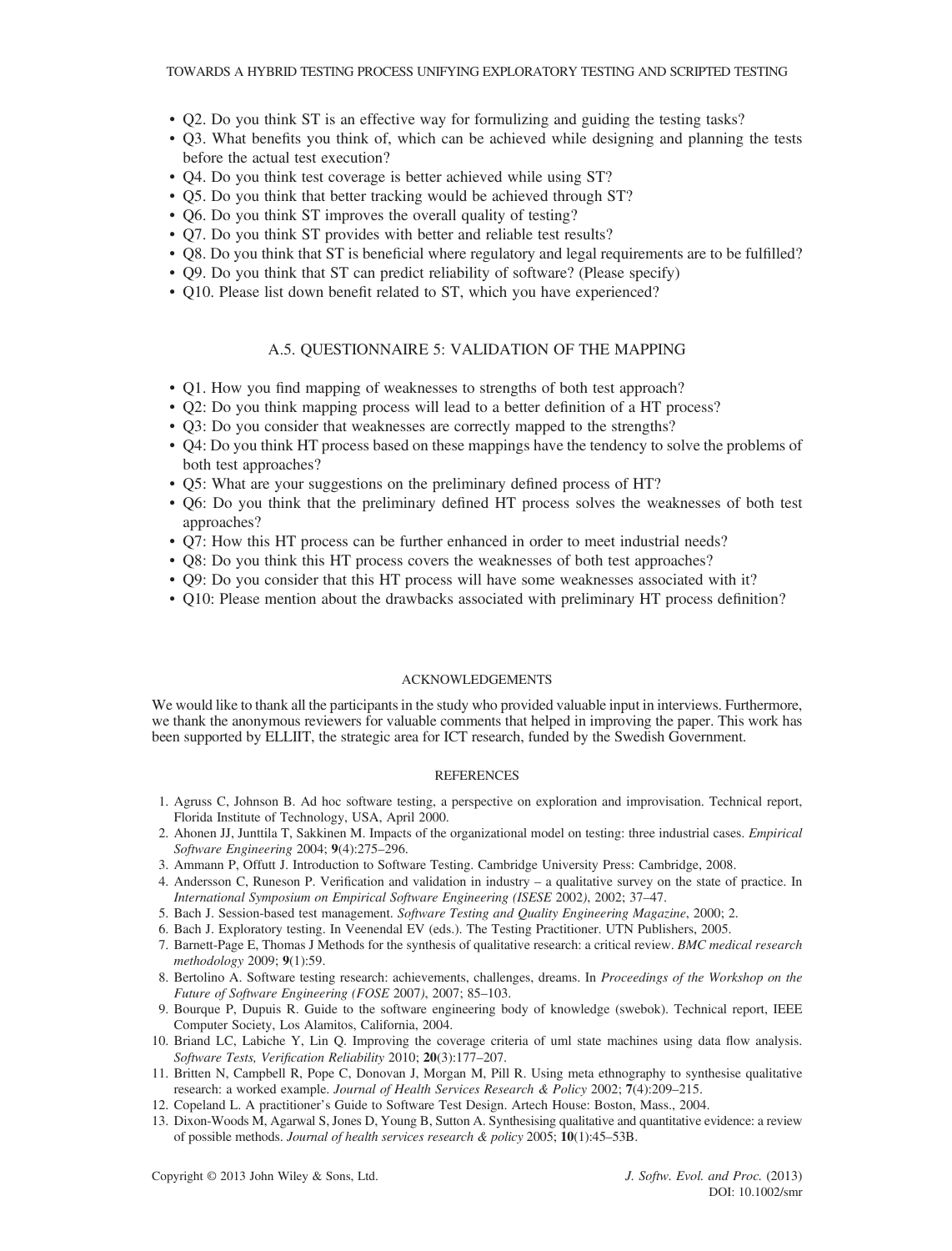- Q2. Do you think ST is an effective way for formulizing and guiding the testing tasks?
- Q3. What benefits you think of, which can be achieved while designing and planning the tests before the actual test execution?
- Q4. Do you think test coverage is better achieved while using ST?
- Q5. Do you think that better tracking would be achieved through ST?
- Q6. Do you think ST improves the overall quality of testing?
- Q7. Do you think ST provides with better and reliable test results?
- Q8. Do you think that ST is beneficial where regulatory and legal requirements are to be fulfilled?
- Q9. Do you think that ST can predict reliability of software? (Please specify)
- Q10. Please list down benefit related to ST, which you have experienced?

#### A.5. QUESTIONNAIRE 5: VALIDATION OF THE MAPPING

- Q1. How you find mapping of weaknesses to strengths of both test approach?
- Q2: Do you think mapping process will lead to a better definition of a HT process?
- Q3: Do you consider that weaknesses are correctly mapped to the strengths?
- Q4: Do you think HT process based on these mappings have the tendency to solve the problems of both test approaches?
- Q5: What are your suggestions on the preliminary defined process of HT?
- Q6: Do you think that the preliminary defined HT process solves the weaknesses of both test approaches?
- Q7: How this HT process can be further enhanced in order to meet industrial needs?
- Q8: Do you think this HT process covers the weaknesses of both test approaches?
- Q9: Do you consider that this HT process will have some weaknesses associated with it?
- Q10: Please mention about the drawbacks associated with preliminary HT process definition?

#### ACKNOWLEDGEMENTS

We would like to thank all the participants in the study who provided valuable input in interviews. Furthermore, we thank the anonymous reviewers for valuable comments that helped in improving the paper. This work has been supported by ELLIIT, the strategic area for ICT research, funded by the Swedish Government.

#### **REFERENCES**

- 1. Agruss C, Johnson B. Ad hoc software testing, a perspective on exploration and improvisation. Technical report, Florida Institute of Technology, USA, April 2000.
- 2. Ahonen JJ, Junttila T, Sakkinen M. Impacts of the organizational model on testing: three industrial cases. Empirical Software Engineering 2004; 9(4):275–296.
- 3. Ammann P, Offutt J. Introduction to Software Testing. Cambridge University Press: Cambridge, 2008.
- 4. Andersson C, Runeson P. Verification and validation in industry a qualitative survey on the state of practice. In International Symposium on Empirical Software Engineering (ISESE 2002), 2002; 37–47.
- 5. Bach J. Session-based test management. Software Testing and Quality Engineering Magazine, 2000; 2.
- 6. Bach J. Exploratory testing. In Veenendal EV (eds.). The Testing Practitioner. UTN Publishers, 2005.
- 7. Barnett-Page E, Thomas J Methods for the synthesis of qualitative research: a critical review. BMC medical research methodology 2009; 9(1):59.
- 8. Bertolino A. Software testing research: achievements, challenges, dreams. In Proceedings of the Workshop on the Future of Software Engineering (FOSE 2007), 2007; 85–103.
- 9. Bourque P, Dupuis R. Guide to the software engineering body of knowledge (swebok). Technical report, IEEE Computer Society, Los Alamitos, California, 2004.
- 10. Briand LC, Labiche Y, Lin Q. Improving the coverage criteria of uml state machines using data flow analysis. Software Tests, Verification Reliability 2010; 20(3):177–207.
- 11. Britten N, Campbell R, Pope C, Donovan J, Morgan M, Pill R. Using meta ethnography to synthesise qualitative research: a worked example. Journal of Health Services Research & Policy 2002; 7(4):209–215.
- 12. Copeland L. A practitioner's Guide to Software Test Design. Artech House: Boston, Mass., 2004.
- 13. Dixon-Woods M, Agarwal S, Jones D, Young B, Sutton A. Synthesising qualitative and quantitative evidence: a review of possible methods. Journal of health services research & policy 2005; 10(1):45–53B.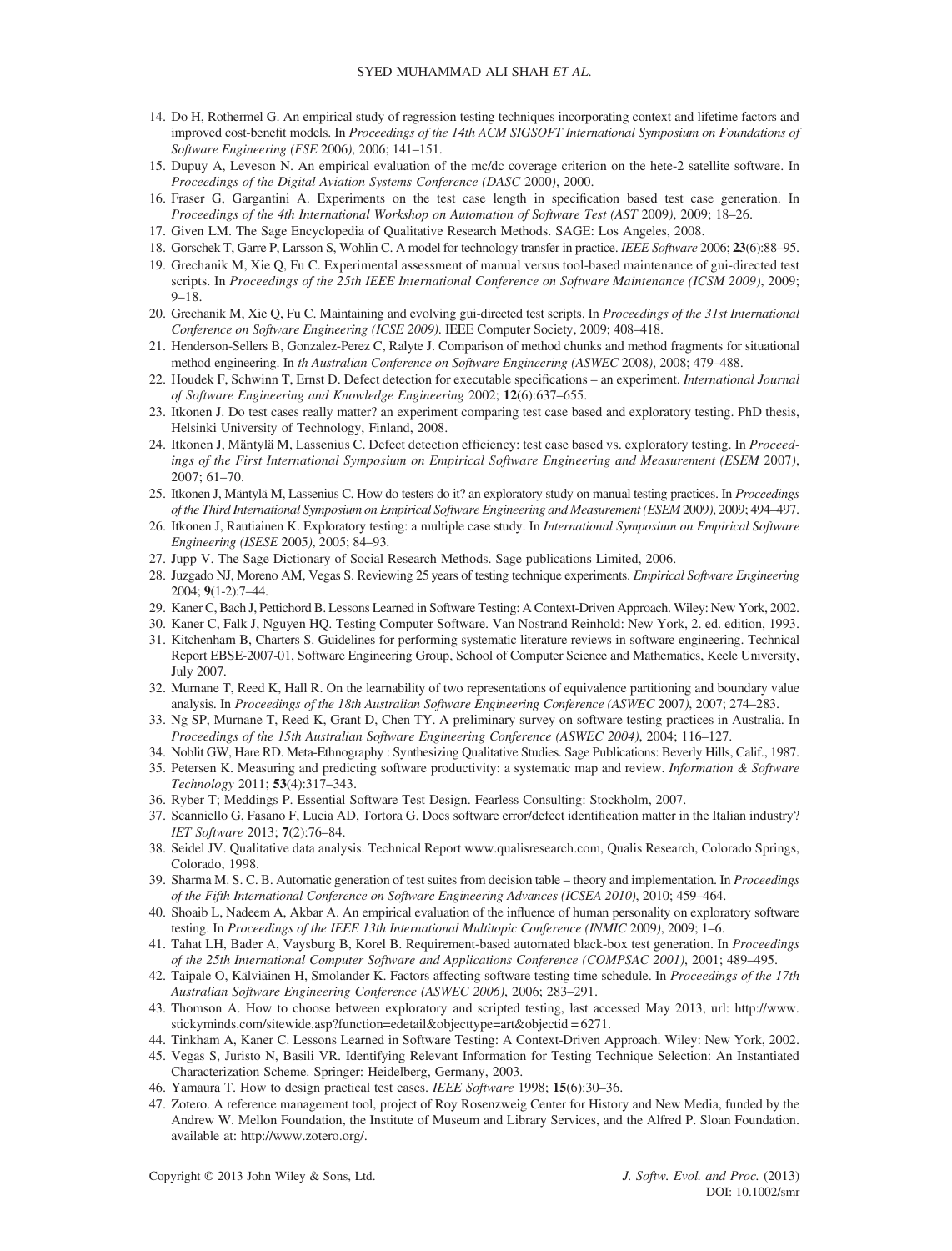- 14. Do H, Rothermel G. An empirical study of regression testing techniques incorporating context and lifetime factors and improved cost-benefit models. In Proceedings of the 14th ACM SIGSOFT International Symposium on Foundations of Software Engineering (FSE 2006), 2006; 141–151.
- 15. Dupuy A, Leveson N. An empirical evaluation of the mc/dc coverage criterion on the hete-2 satellite software. In Proceedings of the Digital Aviation Systems Conference (DASC 2000), 2000.
- 16. Fraser G, Gargantini A. Experiments on the test case length in specification based test case generation. In Proceedings of the 4th International Workshop on Automation of Software Test (AST 2009), 2009; 18–26.
- 17. Given LM. The Sage Encyclopedia of Qualitative Research Methods. SAGE: Los Angeles, 2008.
- 18. Gorschek T, Garre P, Larsson S, Wohlin C. A model for technology transfer in practice. IEEE Software 2006; 23(6):88–95.
- 19. Grechanik M, Xie Q, Fu C. Experimental assessment of manual versus tool-based maintenance of gui-directed test scripts. In Proceedings of the 25th IEEE International Conference on Software Maintenance (ICSM 2009), 2009; 9–18.
- 20. Grechanik M, Xie Q, Fu C. Maintaining and evolving gui-directed test scripts. In Proceedings of the 31st International Conference on Software Engineering (ICSE 2009). IEEE Computer Society, 2009; 408–418.
- 21. Henderson-Sellers B, Gonzalez-Perez C, Ralyte J. Comparison of method chunks and method fragments for situational method engineering. In th Australian Conference on Software Engineering (ASWEC 2008), 2008; 479–488.
- 22. Houdek F, Schwinn T, Ernst D. Defect detection for executable specifications an experiment. International Journal of Software Engineering and Knowledge Engineering 2002; 12(6):637–655.
- 23. Itkonen J. Do test cases really matter? an experiment comparing test case based and exploratory testing. PhD thesis, Helsinki University of Technology, Finland, 2008.
- 24. Itkonen J, Mäntylä M, Lassenius C. Defect detection efficiency: test case based vs. exploratory testing. In Proceedings of the First International Symposium on Empirical Software Engineering and Measurement (ESEM 2007), 2007; 61–70.
- 25. Itkonen J, Mäntylä M, Lassenius C. How do testers do it? an exploratory study on manual testing practices. In Proceedings of the Third International Symposium on Empirical Software Engineering and Measurement (ESEM 2009), 2009; 494–497.
- 26. Itkonen J, Rautiainen K. Exploratory testing: a multiple case study. In International Symposium on Empirical Software Engineering (ISESE 2005), 2005; 84–93.
- 27. Jupp V. The Sage Dictionary of Social Research Methods. Sage publications Limited, 2006.
- 28. Juzgado NJ, Moreno AM, Vegas S. Reviewing 25 years of testing technique experiments. Empirical Software Engineering 2004; 9(1-2):7–44.
- 29. Kaner C, Bach J, Pettichord B. Lessons Learned in Software Testing: A Context-Driven Approach. Wiley: New York, 2002.
- 30. Kaner C, Falk J, Nguyen HQ. Testing Computer Software. Van Nostrand Reinhold: New York, 2. ed. edition, 1993.
- 31. Kitchenham B, Charters S. Guidelines for performing systematic literature reviews in software engineering. Technical Report EBSE-2007-01, Software Engineering Group, School of Computer Science and Mathematics, Keele University, July 2007.
- 32. Murnane T, Reed K, Hall R. On the learnability of two representations of equivalence partitioning and boundary value analysis. In Proceedings of the 18th Australian Software Engineering Conference (ASWEC 2007), 2007; 274–283.
- 33. Ng SP, Murnane T, Reed K, Grant D, Chen TY. A preliminary survey on software testing practices in Australia. In Proceedings of the 15th Australian Software Engineering Conference (ASWEC 2004), 2004; 116–127.
- 34. Noblit GW, Hare RD. Meta-Ethnography : Synthesizing Qualitative Studies. Sage Publications: Beverly Hills, Calif., 1987.
- 35. Petersen K. Measuring and predicting software productivity: a systematic map and review. Information & Software Technology 2011; 53(4):317–343.
- 36. Ryber T; Meddings P. Essential Software Test Design. Fearless Consulting: Stockholm, 2007.
- 37. Scanniello G, Fasano F, Lucia AD, Tortora G. Does software error/defect identification matter in the Italian industry? IET Software 2013; 7(2):76–84.
- 38. Seidel JV. Qualitative data analysis. Technical Report www.qualisresearch.com, Qualis Research, Colorado Springs, Colorado, 1998.
- 39. Sharma M. S. C. B. Automatic generation of test suites from decision table theory and implementation. In Proceedings of the Fifth International Conference on Software Engineering Advances (ICSEA 2010), 2010; 459–464.
- 40. Shoaib L, Nadeem A, Akbar A. An empirical evaluation of the influence of human personality on exploratory software testing. In Proceedings of the IEEE 13th International Multitopic Conference (INMIC 2009), 2009; 1–6.
- 41. Tahat LH, Bader A, Vaysburg B, Korel B. Requirement-based automated black-box test generation. In Proceedings of the 25th International Computer Software and Applications Conference (COMPSAC 2001), 2001; 489–495.
- 42. Taipale O, Kälviäinen H, Smolander K. Factors affecting software testing time schedule. In Proceedings of the 17th Australian Software Engineering Conference (ASWEC 2006), 2006; 283–291.
- 43. Thomson A. How to choose between exploratory and scripted testing, last accessed May 2013, url: http://www. stickyminds.com/sitewide.asp?function=edetail&objecttype=art&objectid = 6271.
- 44. Tinkham A, Kaner C. Lessons Learned in Software Testing: A Context-Driven Approach. Wiley: New York, 2002.
- 45. Vegas S, Juristo N, Basili VR. Identifying Relevant Information for Testing Technique Selection: An Instantiated Characterization Scheme. Springer: Heidelberg, Germany, 2003.
- 46. Yamaura T. How to design practical test cases. IEEE Software 1998; 15(6):30–36.
- 47. Zotero. A reference management tool, project of Roy Rosenzweig Center for History and New Media, funded by the Andrew W. Mellon Foundation, the Institute of Museum and Library Services, and the Alfred P. Sloan Foundation. available at: [http://www.zotero.org/.](http://www.zotero.org/)